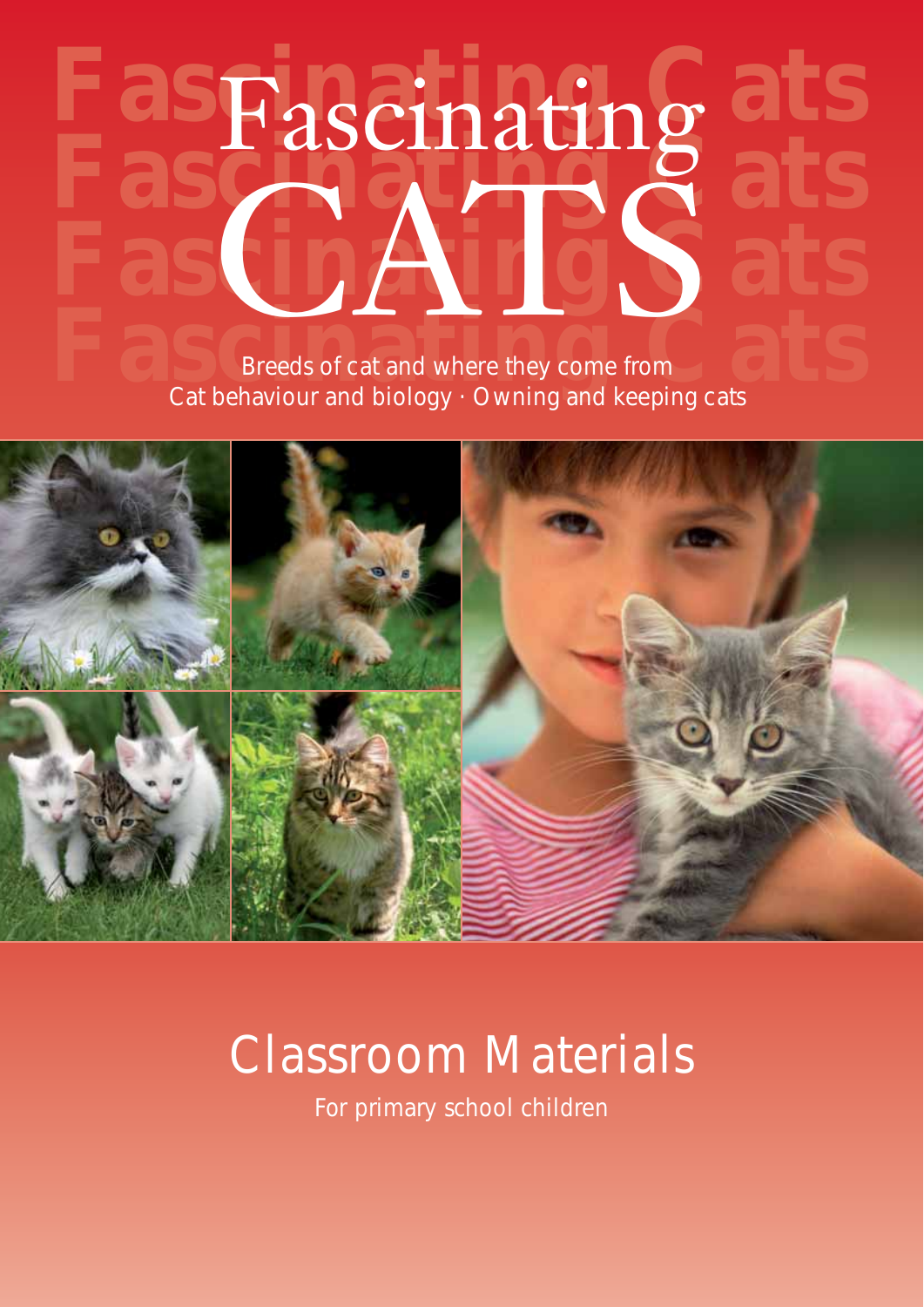# **Fascinating Cats CATSS** Breeds of cat and where they come from Cat behaviour and biology · Owning and keeping cats Fascinating



## Classroom Materials

For primary school children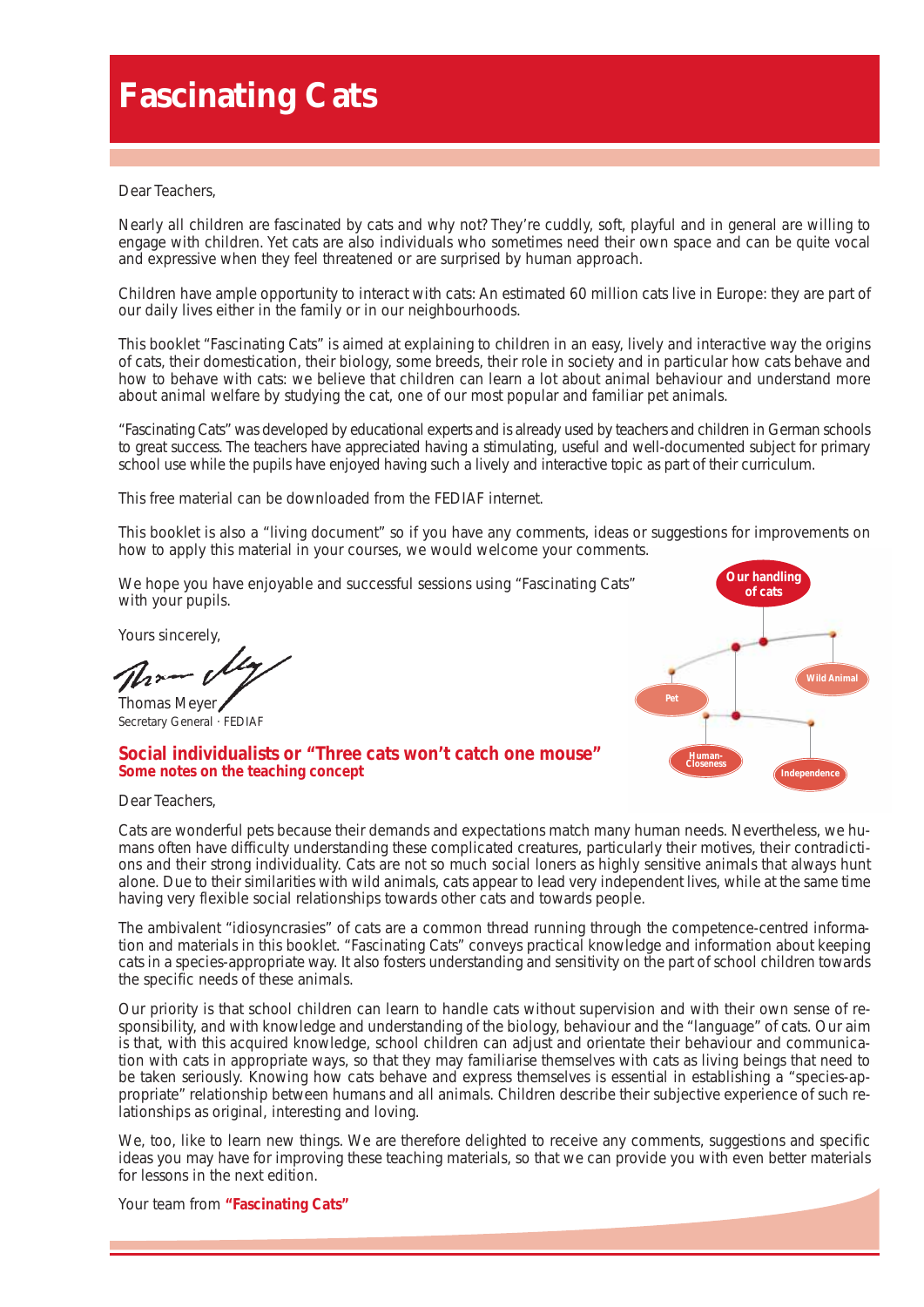## **Fascinating Cats**

Dear Teachers,

Nearly all children are fascinated by cats and why not? They're cuddly, soft, playful and in general are willing to engage with children. Yet cats are also individuals who sometimes need their own space and can be quite vocal and expressive when they feel threatened or are surprised by human approach.

Children have ample opportunity to interact with cats: An estimated 60 million cats live in Europe: they are part of our daily lives either in the family or in our neighbourhoods.

This booklet "Fascinating Cats" is aimed at explaining to children in an easy, lively and interactive way the origins of cats, their domestication, their biology, some breeds, their role in society and in particular how cats behave and how to behave with cats: we believe that children can learn a lot about animal behaviour and understand more about animal welfare by studying the cat, one of our most popular and familiar pet animals.

"Fascinating Cats" was developed by educational experts and is already used by teachers and children in German schools to great success. The teachers have appreciated having a stimulating, useful and well-documented subject for primary school use while the pupils have enjoyed having such a lively and interactive topic as part of their curriculum.

This free material can be downloaded from the FEDIAF internet.

This booklet is also a "living document" so if you have any comments, ideas or suggestions for improvements on how to apply this material in your courses, we would welcome your comments.

We hope you have enjoyable and successful sessions using "Fascinating Cats" with your pupils.

Yours sincerely,

Thomas Meyer Secretary General · FEDIAF



## **Social individualists or "Three cats won't catch one mouse" Some notes on the teaching concept**

Dear Teachers,

Cats are wonderful pets because their demands and expectations match many human needs. Nevertheless, we humans often have difficulty understanding these complicated creatures, particularly their motives, their contradictions and their strong individuality. Cats are not so much social loners as highly sensitive animals that always hunt alone. Due to their similarities with wild animals, cats appear to lead very independent lives, while at the same time having very flexible social relationships towards other cats and towards people.

The ambivalent "idiosyncrasies" of cats are a common thread running through the competence-centred information and materials in this booklet. "Fascinating Cats" conveys practical knowledge and information about keeping cats in a species-appropriate way. It also fosters understanding and sensitivity on the part of school children towards the specific needs of these animals.

Our priority is that school children can learn to handle cats without supervision and with their own sense of responsibility, and with knowledge and understanding of the biology, behaviour and the "language" of cats. Our aim is that, with this acquired knowledge, school children can adjust and orientate their behaviour and communication with cats in appropriate ways, so that they may familiarise themselves with cats as living beings that need to be taken seriously. Knowing how cats behave and express themselves is essential in establishing a "species-appropriate" relationship between humans and all animals. Children describe their subjective experience of such relationships as original, interesting and loving.

We, too, like to learn new things. We are therefore delighted to receive any comments, suggestions and specific ideas you may have for improving these teaching materials, so that we can provide you with even better materials for lessons in the next edition.

Your team from "Fascinating Cats"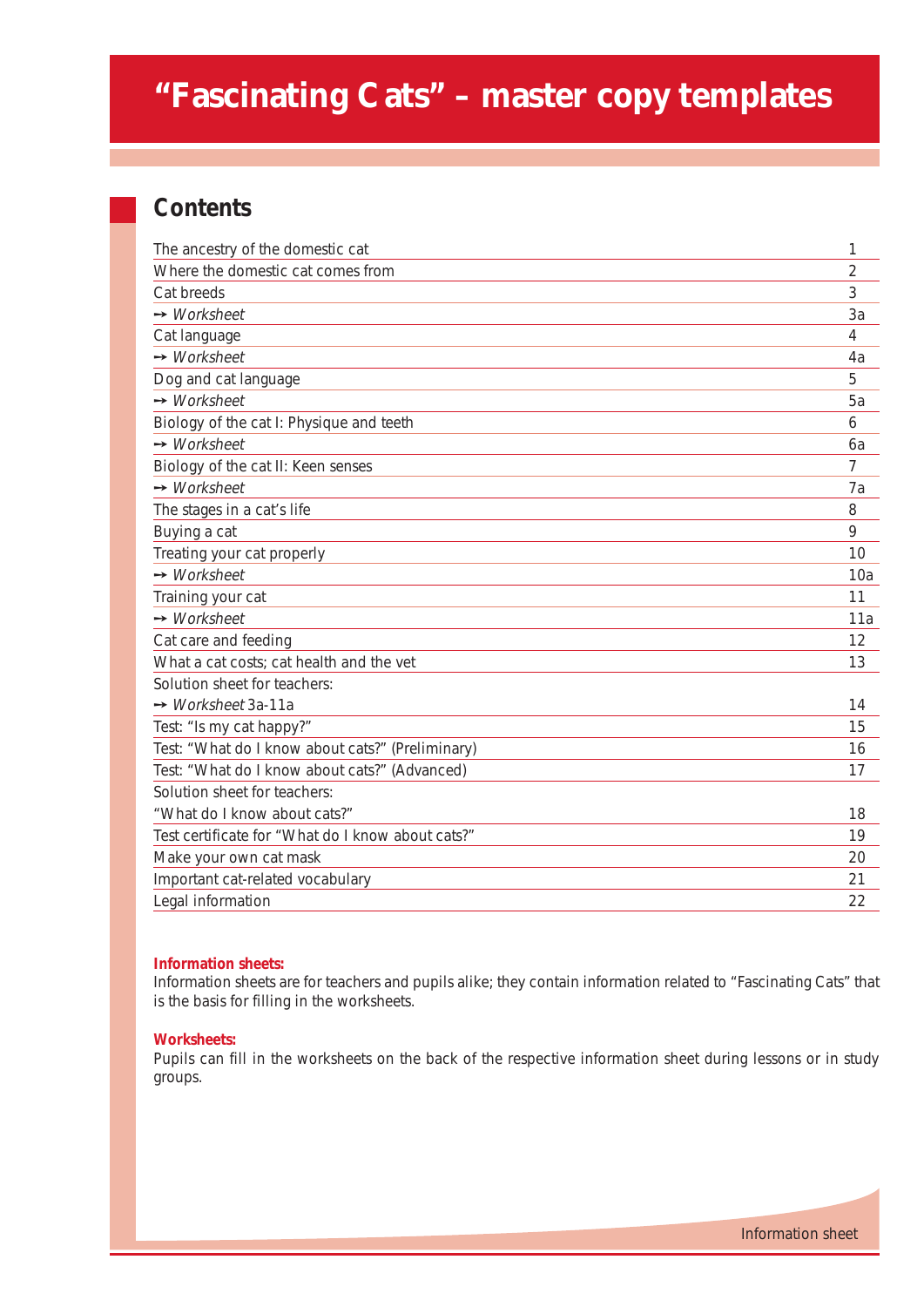## **"Fascinating Cats" – master copy templates**

## **Contents**

| The ancestry of the domestic cat                  | 1              |
|---------------------------------------------------|----------------|
| Where the domestic cat comes from                 | $\overline{2}$ |
| Cat breeds                                        | 3              |
| $\rightarrow$ Worksheet                           | 3a             |
| Cat language                                      | $\overline{4}$ |
| $\rightarrow$ Worksheet                           | 4a             |
| Dog and cat language                              | 5              |
| $\rightarrow$ Worksheet                           | 5a             |
| Biology of the cat I: Physique and teeth          | 6              |
| $\rightarrow$ Worksheet                           | 6a             |
| Biology of the cat II: Keen senses                | 7              |
| $\rightarrow$ Worksheet                           | 7a             |
| The stages in a cat's life                        | 8              |
| Buying a cat                                      | 9              |
| Treating your cat properly                        | 10             |
| $\rightarrow$ Worksheet                           | 10a            |
| Training your cat                                 | 11             |
| $\rightarrow$ Worksheet                           | 11a            |
| Cat care and feeding                              | 12             |
| What a cat costs; cat health and the vet          | 13             |
| Solution sheet for teachers:                      |                |
| $\rightarrow$ Worksheet 3a-11a                    | 14             |
| Test: "Is my cat happy?"                          | 15             |
| Test: "What do I know about cats?" (Preliminary)  | 16             |
| Test: "What do I know about cats?" (Advanced)     | 17             |
| Solution sheet for teachers:                      |                |
| "What do I know about cats?"                      | 18             |
| Test certificate for "What do I know about cats?" | 19             |
| Make your own cat mask                            | 20             |
| Important cat-related vocabulary                  | 21             |
| Legal information                                 | 22             |

## **Information sheets:**

Information sheets are for teachers and pupils alike; they contain information related to "Fascinating Cats" that is the basis for filling in the worksheets.

#### **Worksheets:**

Pupils can fill in the worksheets on the back of the respective information sheet during lessons or in study groups.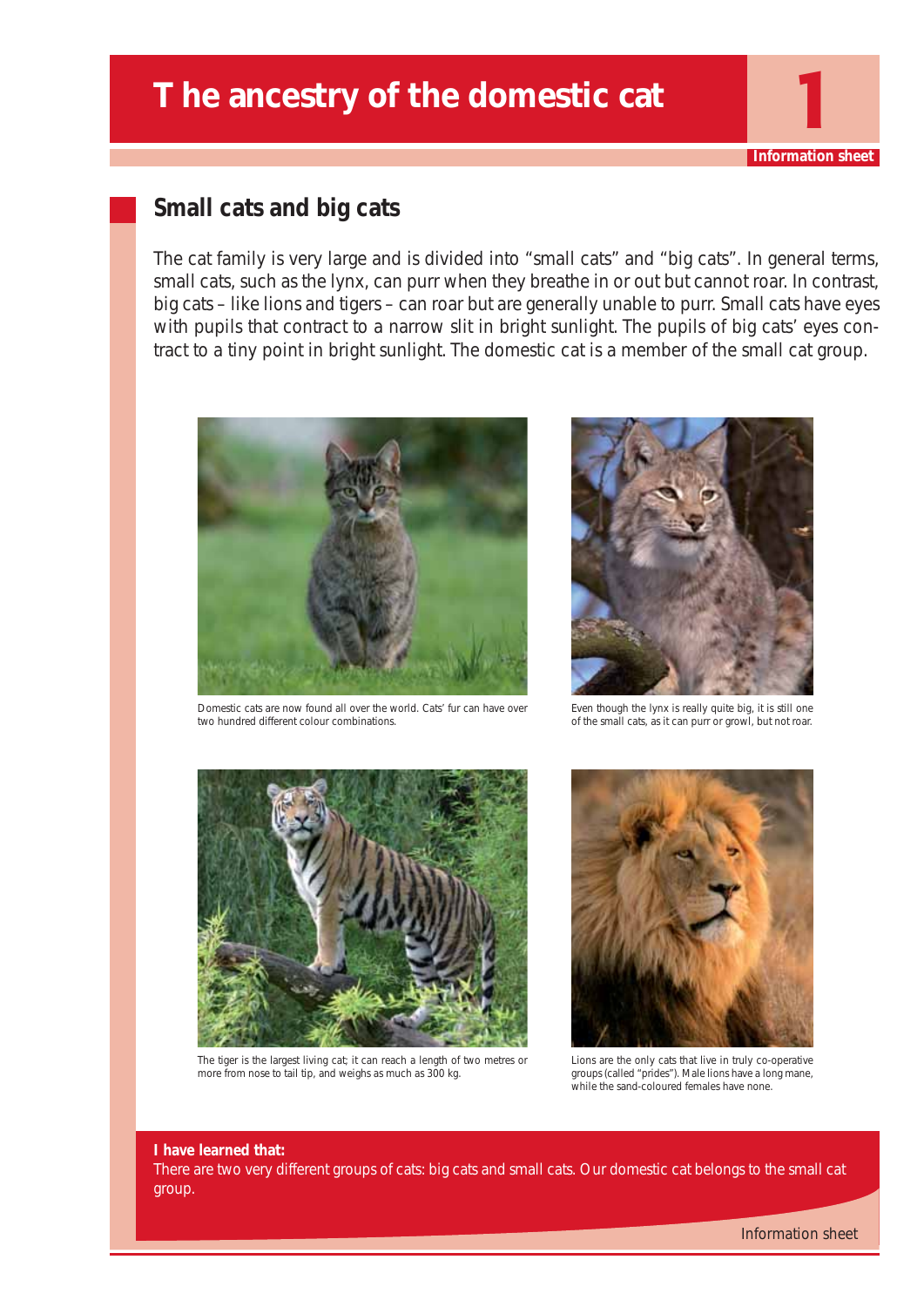## The ancestry of the domestic cat

## **Small cats and big cats**

The cat family is very large and is divided into "small cats" and "big cats". In general terms, small cats, such as the lynx, can purr when they breathe in or out but cannot roar. In contrast, big cats – like lions and tigers – can roar but are generally unable to purr. Small cats have eyes with pupils that contract to a narrow slit in bright sunlight. The pupils of big cats' eyes contract to a tiny point in bright sunlight. The domestic cat is a member of the small cat group.



Domestic cats are now found all over the world. Cats' fur can have over two hundred different colour combinations.



**Information shee** 

Even though the lynx is really quite big, it is still one of the small cats, as it can purr or growl, but not roar.



The tiger is the largest living cat; it can reach a length of two metres or more from nose to tail tip, and weighs as much as 300 kg.



Lions are the only cats that live in truly co-operative groups (called "prides"). Male lions have a long mane, while the sand-coloured females have none.

#### **I have learned that:**

There are two very different groups of cats: big cats and small cats. Our domestic cat belongs to the small cat group.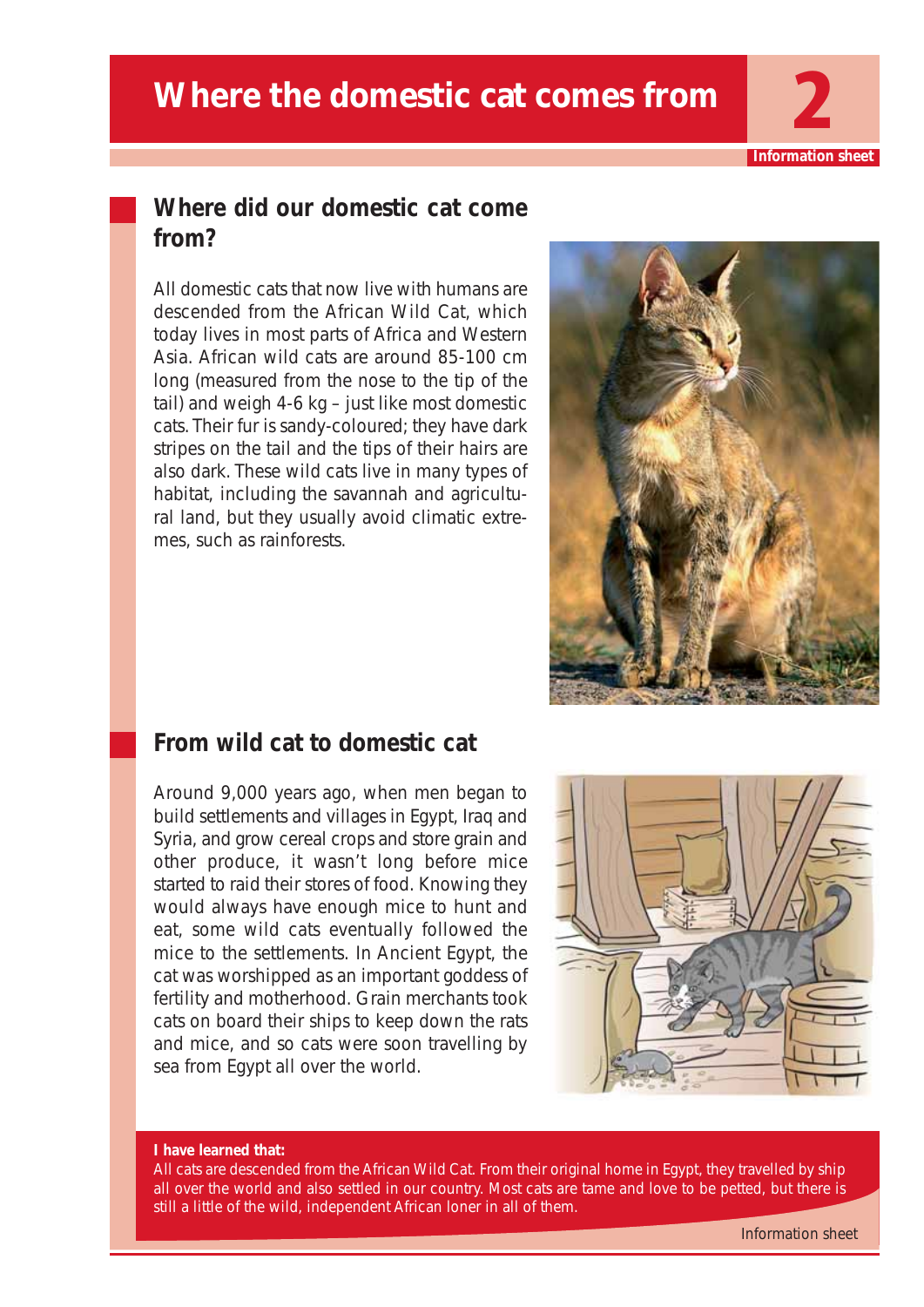## **Where the domestic cat comes from**

**Information sheet**

## **Where did our domestic cat come from?**

All domestic cats that now live with humans are descended from the African Wild Cat, which today lives in most parts of Africa and Western Asia. African wild cats are around 85-100 cm long (measured from the nose to the tip of the tail) and weigh 4-6 kg – just like most domestic cats. Their fur is sandy-coloured; they have dark stripes on the tail and the tips of their hairs are also dark. These wild cats live in many types of habitat, including the savannah and agricultural land, but they usually avoid climatic extremes, such as rainforests.



## **From wild cat to domestic cat**

Around 9,000 years ago, when men began to build settlements and villages in Egypt, Iraq and Syria, and grow cereal crops and store grain and other produce, it wasn't long before mice started to raid their stores of food. Knowing they would always have enough mice to hunt and eat, some wild cats eventually followed the mice to the settlements. In Ancient Egypt, the cat was worshipped as an important goddess of fertility and motherhood. Grain merchants took cats on board their ships to keep down the rats and mice, and so cats were soon travelling by sea from Egypt all over the world.



#### **I have learned that:**

All cats are descended from the African Wild Cat. From their original home in Egypt, they travelled by ship all over the world and also settled in our country. Most cats are tame and love to be petted, but there is still a little of the wild, independent African loner in all of them.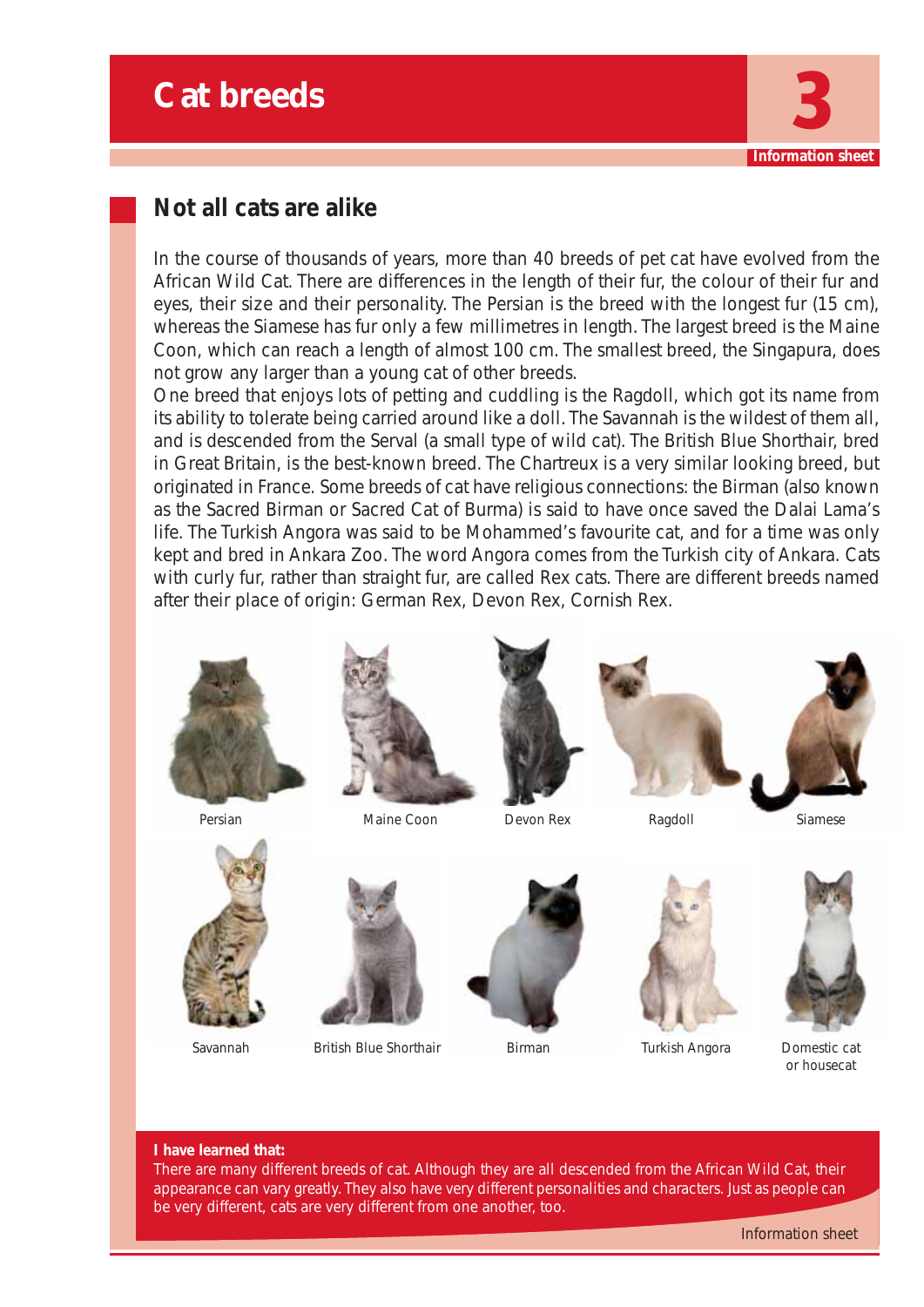

## **Not all cats are alike**

In the course of thousands of years, more than 40 breeds of pet cat have evolved from the African Wild Cat. There are differences in the length of their fur, the colour of their fur and eyes, their size and their personality. The Persian is the breed with the longest fur (15 cm), whereas the Siamese has fur only a few millimetres in length. The largest breed is the Maine Coon, which can reach a length of almost 100 cm. The smallest breed, the Singapura, does not grow any larger than a young cat of other breeds.

One breed that enjoys lots of petting and cuddling is the Ragdoll, which got its name from its ability to tolerate being carried around like a doll. The Savannah is the wildest of them all, and is descended from the Serval (a small type of wild cat). The British Blue Shorthair, bred in Great Britain, is the best-known breed. The Chartreux is a very similar looking breed, but originated in France. Some breeds of cat have religious connections: the Birman (also known as the Sacred Birman or Sacred Cat of Burma) is said to have once saved the Dalai Lama's life. The Turkish Angora was said to be Mohammed's favourite cat, and for a time was only kept and bred in Ankara Zoo. The word Angora comes from the Turkish city of Ankara. Cats with curly fur, rather than straight fur, are called Rex cats. There are different breeds named after their place of origin: German Rex, Devon Rex, Cornish Rex.







Persian Ragdoll Maine Coon Siamese Devon Rex







Savannah British Blue Shorthair Birman Turkish Angora Domestic cat



Birman





or housecat

#### **I have learned that:**

There are many different breeds of cat. Although they are all descended from the African Wild Cat, their appearance can vary greatly. They also have very different personalities and characters. Just as people can be very different, cats are very different from one another, too.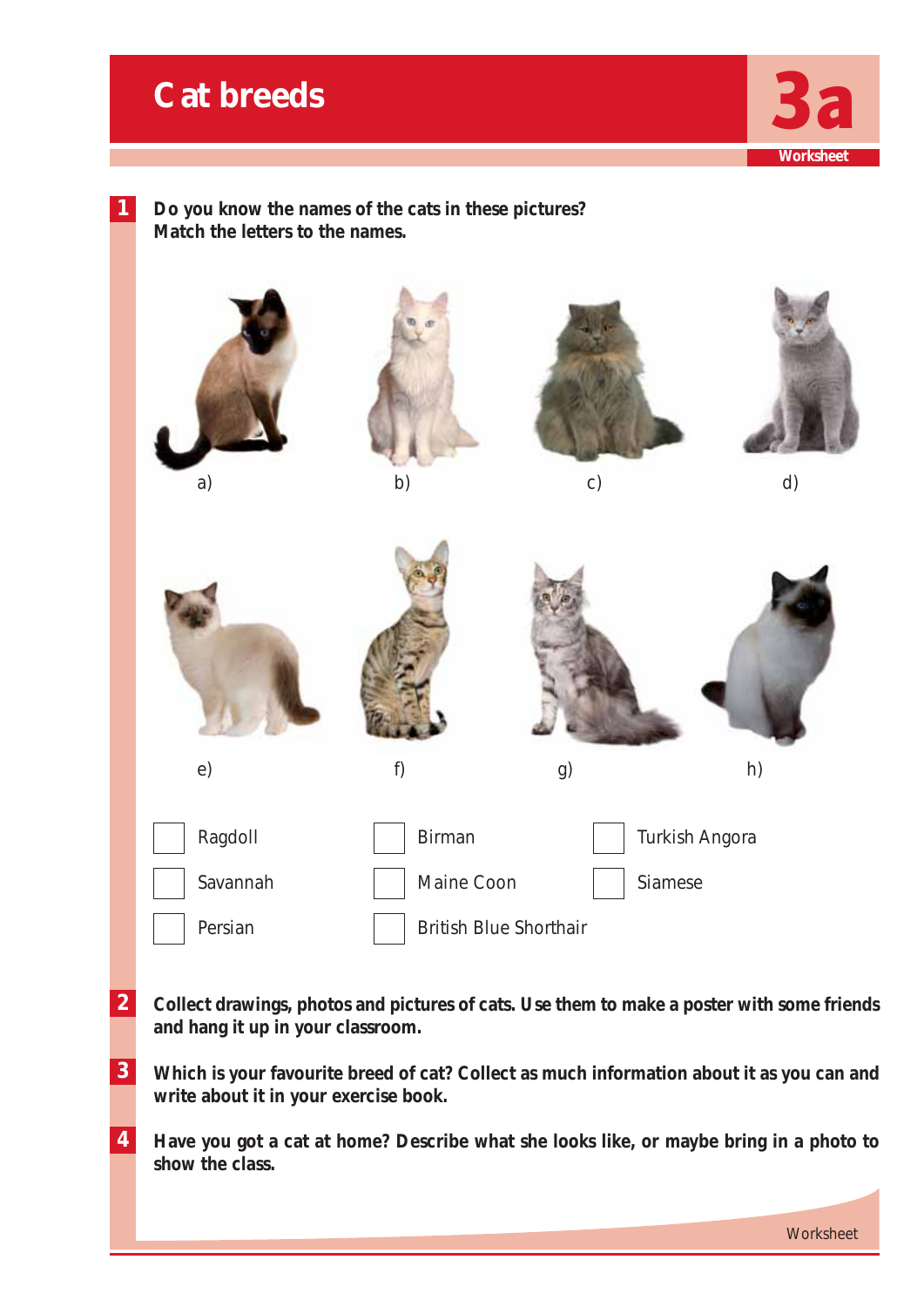## **Cat breeds**



**Worksheet** 



**Do you know the names of the cats in these pictures? Match the letters to the names.**



- **2 Collect drawings, photos and pictures of cats. Use them to make a poster with some friends and hang it up in your classroom.**
- **3 Which is your favourite breed of cat? Collect as much information about it as you can and write about it in your exercise book.**
- **4 Have you got a cat at home? Describe what she looks like, or maybe bring in a photo to show the class.**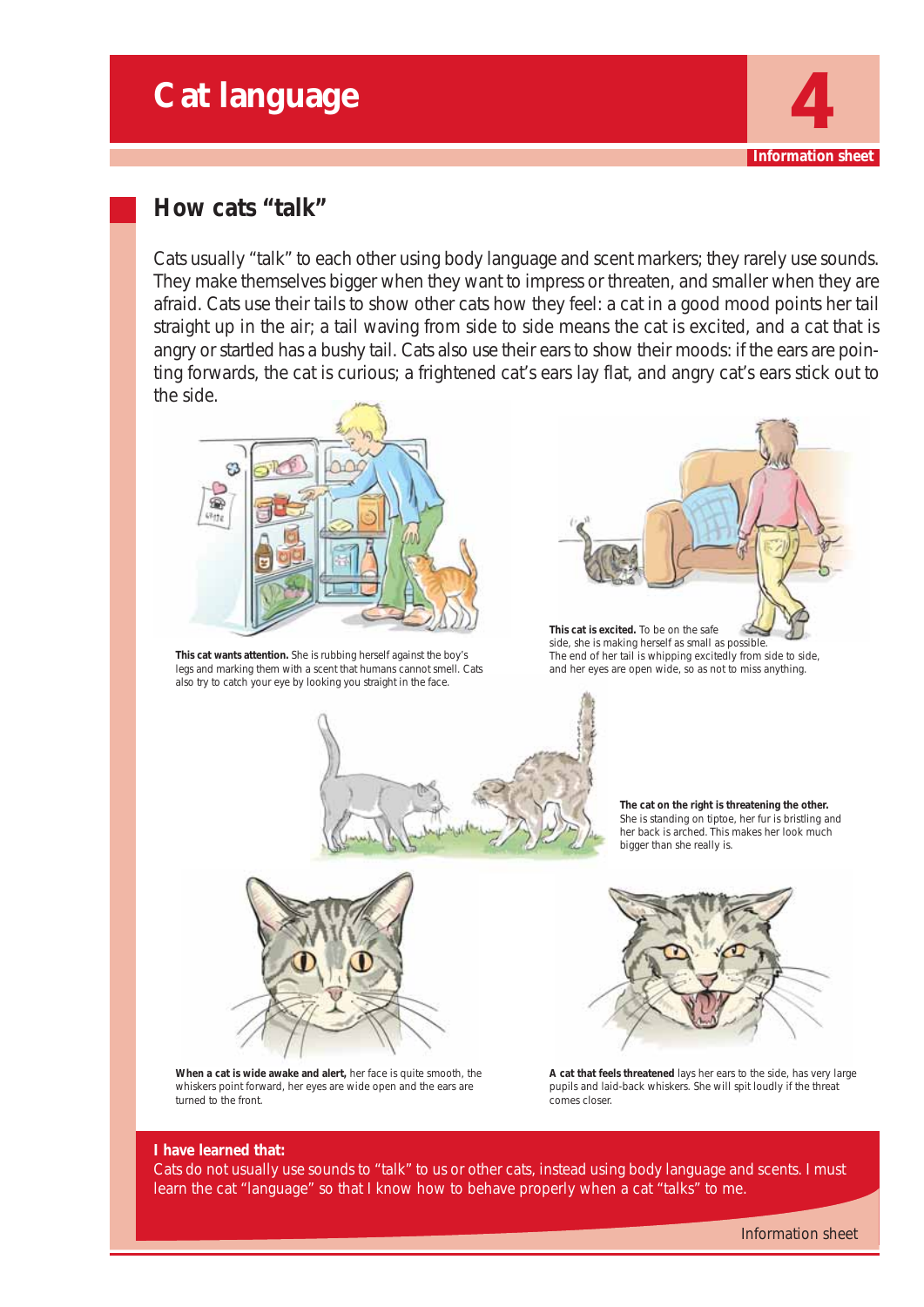## **Cat language**



## **How cats "talk"**

Cats usually "talk" to each other using body language and scent markers; they rarely use sounds. They make themselves bigger when they want to impress or threaten, and smaller when they are afraid. Cats use their tails to show other cats how they feel: a cat in a good mood points her tail straight up in the air; a tail waving from side to side means the cat is excited, and a cat that is angry or startled has a bushy tail. Cats also use their ears to show their moods: if the ears are pointing forwards, the cat is curious; a frightened cat's ears lay flat, and angry cat's ears stick out to the side.



**This cat wants attention.** She is rubbing herself against the boy's legs and marking them with a scent that humans cannot smell. Cats also try to catch your eye by looking you straight in the face.



**This cat is excited.** To be on the safe side, she is making herself as small as possible. The end of her tail is whipping excitedly from side to side, and her eyes are open wide, so as not to miss anything.



**The cat on the right is threatening the other.** She is standing on tiptoe, her fur is bristling and her back is arched. This makes her look much bigger than she really is.



**When a cat is wide awake and alert,** her face is quite smooth, the whiskers point forward, her eyes are wide open and the ears are turned to the front.



**A cat that feels threatened** lays her ears to the side, has very large pupils and laid-back whiskers. She will spit loudly if the threat comes closer.

#### **I have learned that:**

Cats do not usually use sounds to "talk" to us or other cats, instead using body language and scents. I must learn the cat "language" so that I know how to behave properly when a cat "talks" to me.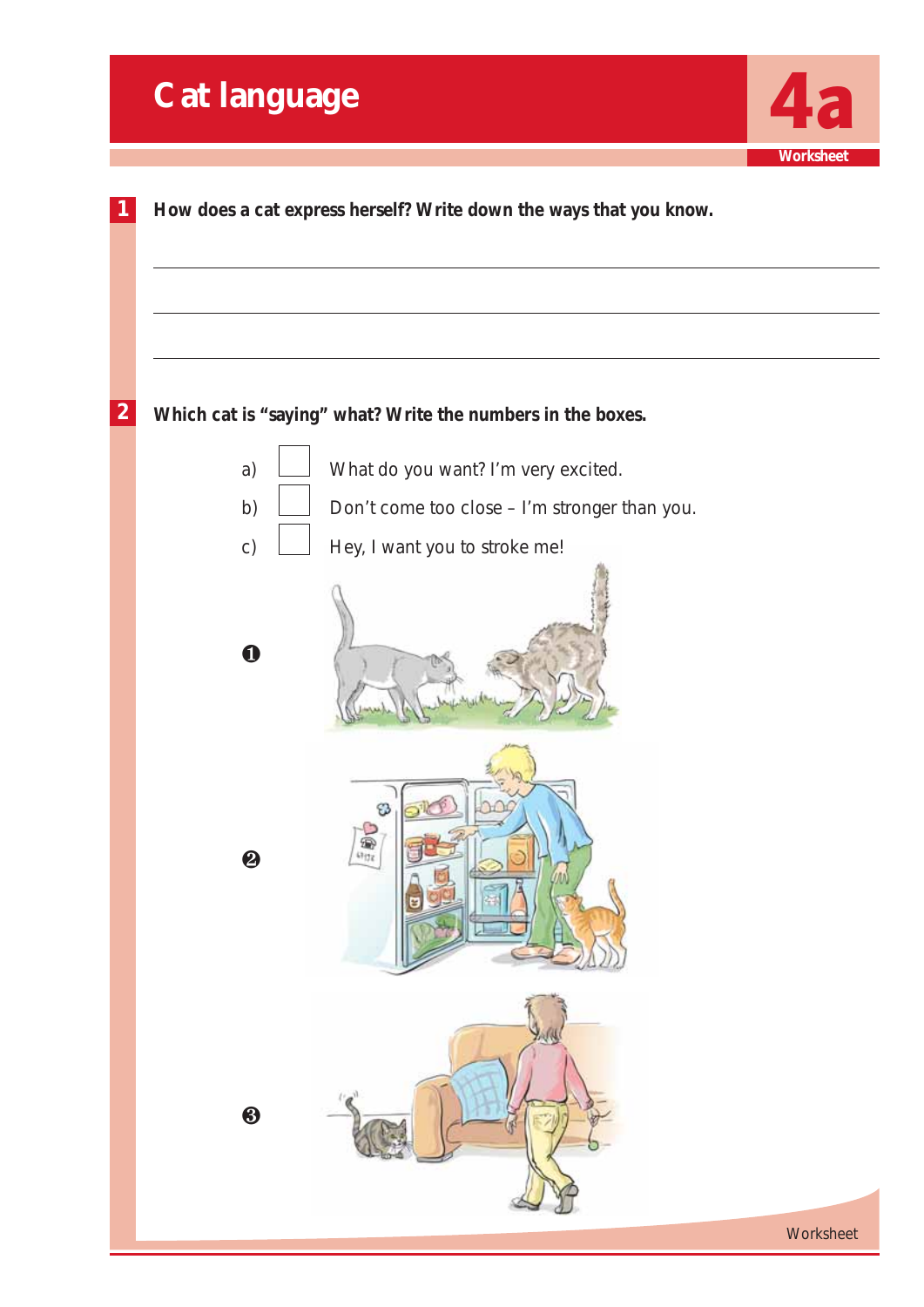|                  | <b>Cat language</b>   |                                                                    |                  |
|------------------|-----------------------|--------------------------------------------------------------------|------------------|
| 1                |                       | How does a cat express herself? Write down the ways that you know. | <b>Worksheet</b> |
| $\boldsymbol{2}$ |                       | Which cat is "saying" what? Write the numbers in the boxes.        |                  |
|                  | a)                    | What do you want? I'm very excited.                                |                  |
|                  | b)                    | Don't come too close - I'm stronger than you.                      |                  |
|                  | C)                    | Hey, I want you to stroke me!                                      |                  |
|                  | $\mathbf 0$           |                                                                    |                  |
|                  | $\boldsymbol{\Theta}$ | B<br>一個                                                            |                  |
|                  | $\bigcirc$            |                                                                    |                  |
|                  |                       |                                                                    | Worksheet        |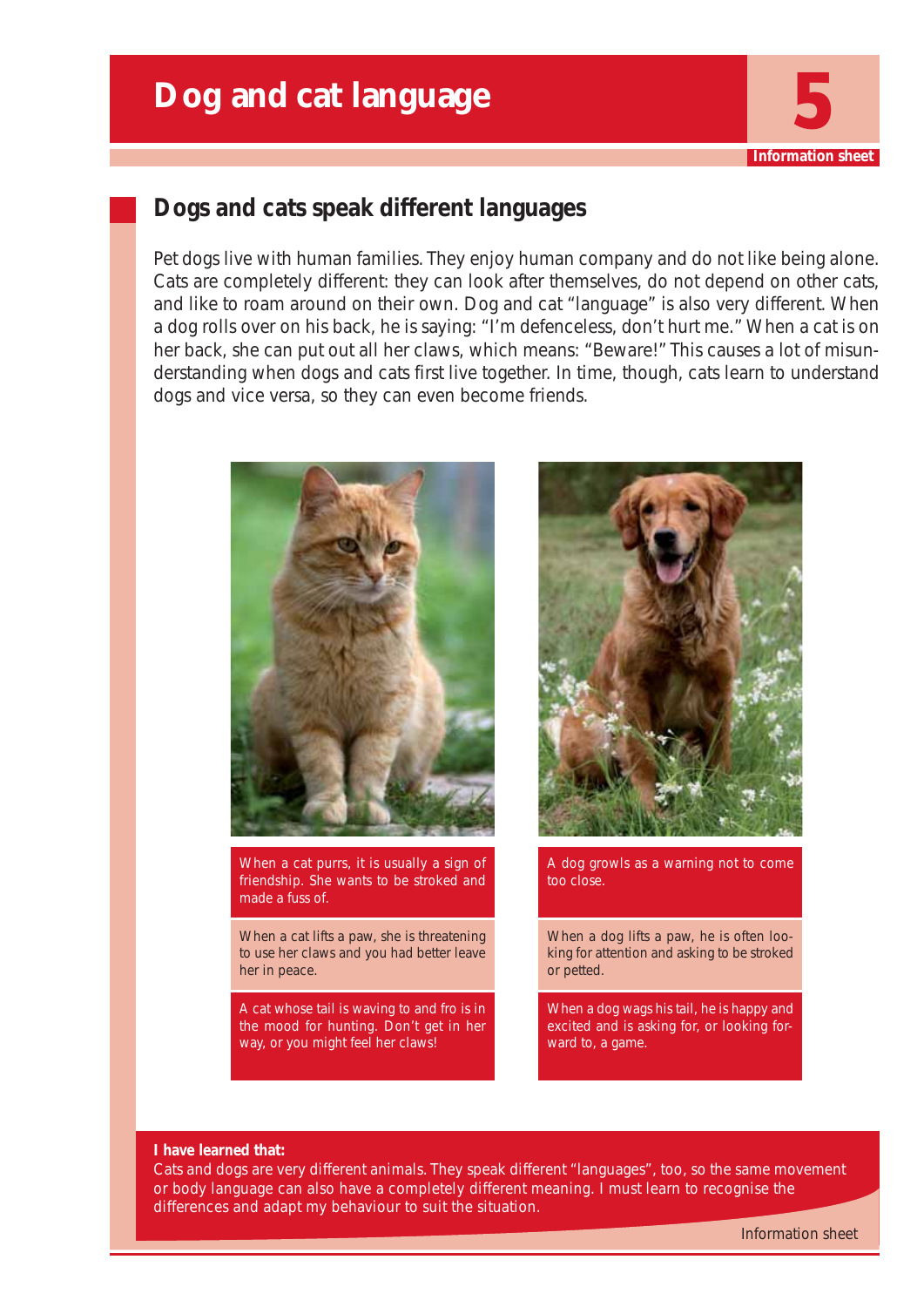

## **Dogs and cats speak different languages**

Pet dogs live with human families. They enjoy human company and do not like being alone. Cats are completely different: they can look after themselves, do not depend on other cats, and like to roam around on their own. Dog and cat "language" is also very different. When a dog rolls over on his back, he is saying: "I'm defenceless, don't hurt me." When a cat is on her back, she can put out all her claws, which means: "Beware!" This causes a lot of misunderstanding when dogs and cats first live together. In time, though, cats learn to understand dogs and vice versa, so they can even become friends.



When a cat purrs, it is usually a sign of friendship. She wants to be stroked and made a fuss of.

When a cat lifts a paw, she is threatening to use her claws and you had better leave her in peace.

A cat whose tail is waving to and fro is in the mood for hunting. Don't get in her way, or you might feel her claws!



A dog growls as a warning not to come too close.

When a dog lifts a paw, he is often looking for attention and asking to be stroked or petted.

When a dog wags his tail, he is happy and excited and is asking for, or looking forward to, a game.

#### **I have learned that:**

Cats and dogs are very different animals. They speak different "languages", too, so the same movement or body language can also have a completely different meaning. I must learn to recognise the differences and adapt my behaviour to suit the situation.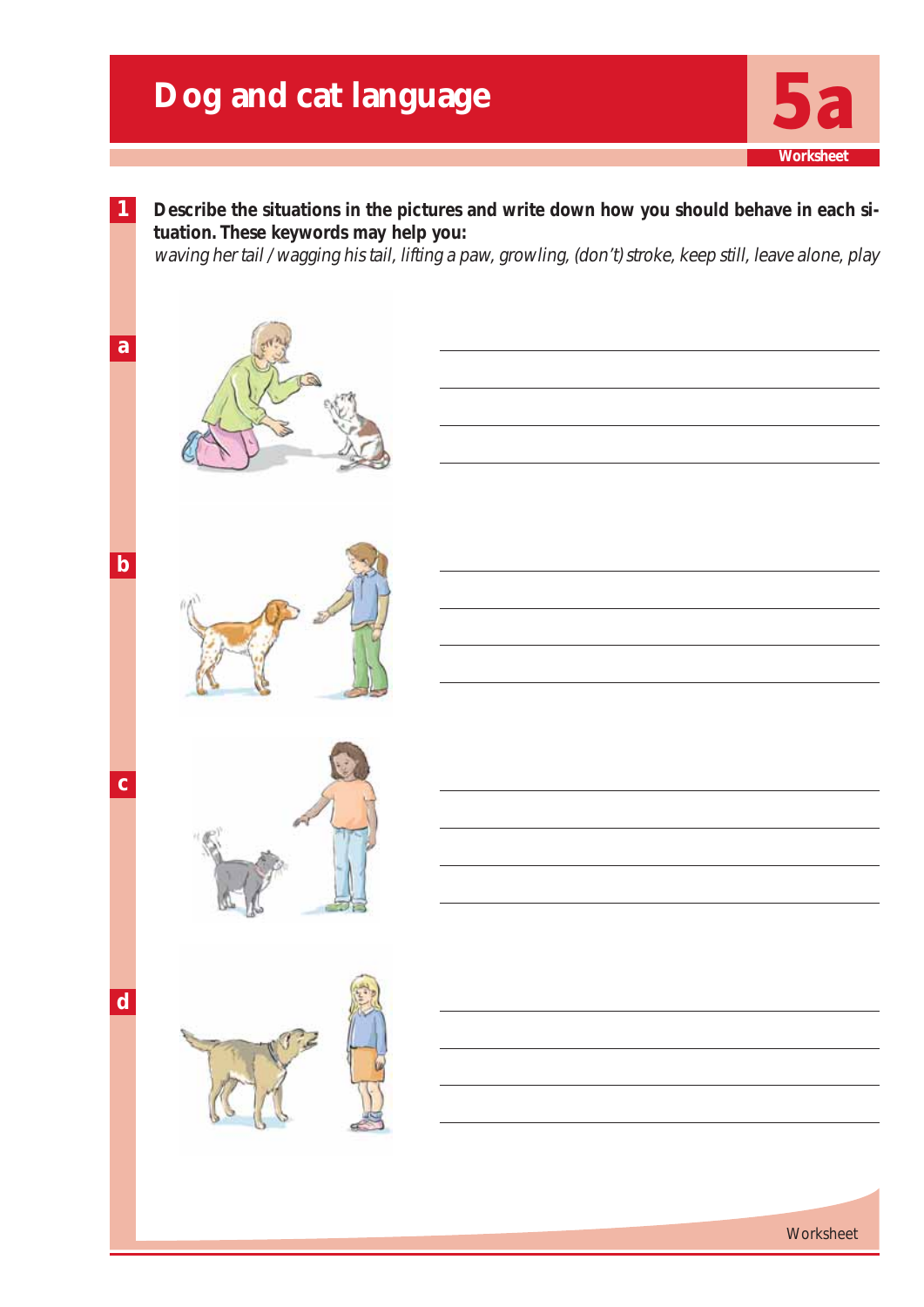## **Dog and cat language**



**Worksheet**

**Worksheet** 





**a**

**b**

**c**

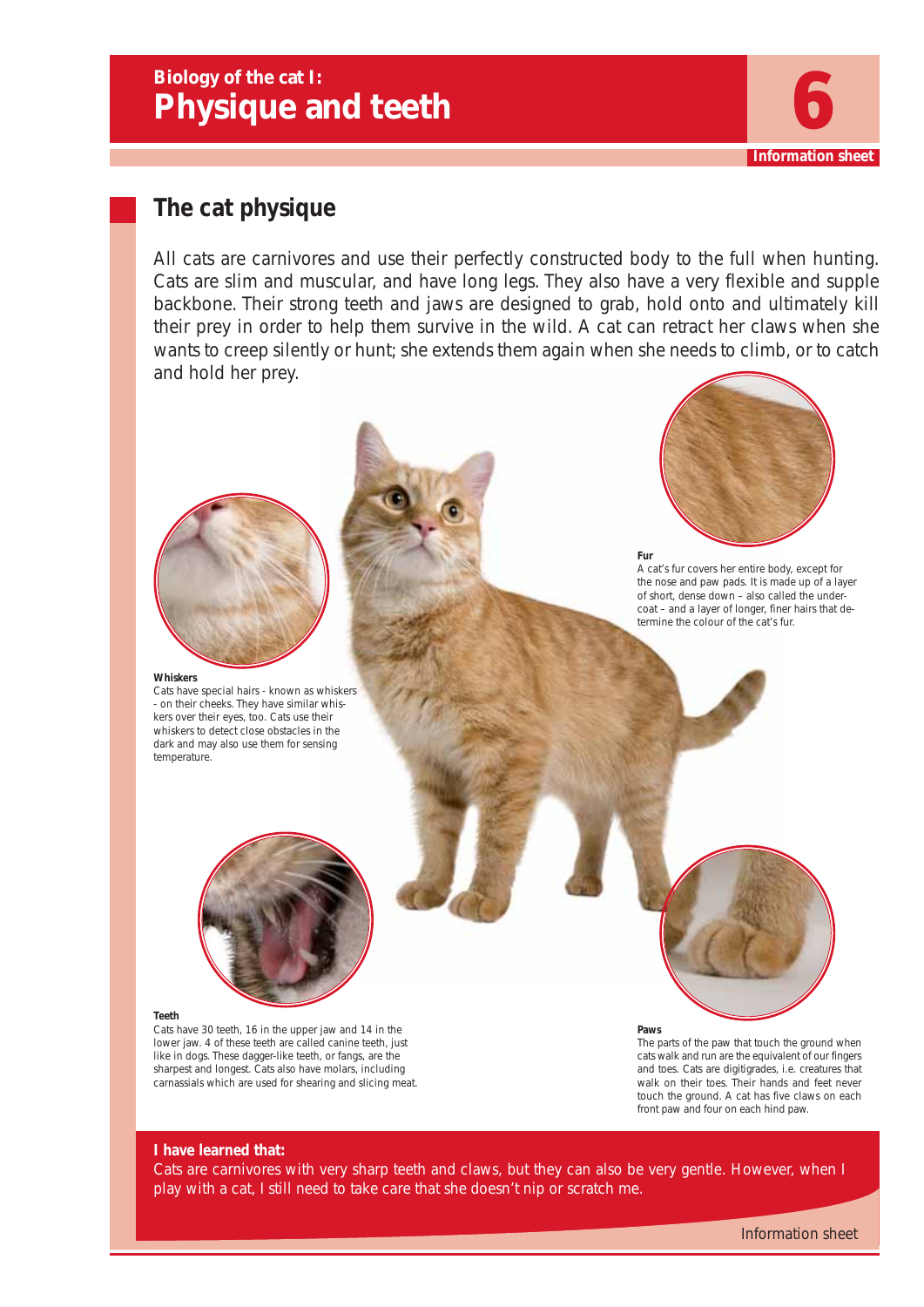## **Biology of the cat I: Physique and teeth** 6



## **The cat physique**

All cats are carnivores and use their perfectly constructed body to the full when hunting. Cats are slim and muscular, and have long legs. They also have a very flexible and supple backbone. Their strong teeth and jaws are designed to grab, hold onto and ultimately kill their prey in order to help them survive in the wild. A cat can retract her claws when she wants to creep silently or hunt; she extends them again when she needs to climb, or to catch and hold her prey.



#### **Whiskers**

Cats have special hairs - known as whiskers - on their cheeks. They have similar whiskers over their eyes, too. Cats use their whiskers to detect close obstacles in the dark and may also use them for sensing temperature.



**Fur**

A cat's fur covers her entire body, except for the nose and paw pads. It is made up of a layer of short, dense down – also called the undercoat – and a layer of longer, finer hairs that determine the colour of the cat's fur.



#### **Paws**

The parts of the paw that touch the ground when cats walk and run are the equivalent of our fingers and toes. Cats are digitigrades, i.e. creatures that walk on their toes. Their hands and feet never touch the ground. A cat has five claws on each front paw and four on each hind paw.

#### **Teeth**

Cats have 30 teeth, 16 in the upper jaw and 14 in the lower jaw. 4 of these teeth are called canine teeth, just like in dogs. These dagger-like teeth, or fangs, are the sharpest and longest. Cats also have molars, including carnassials which are used for shearing and slicing meat.

**I have learned that:**

Cats are carnivores with very sharp teeth and claws, but they can also be very gentle. However, when I play with a cat, I still need to take care that she doesn't nip or scratch me.

Information sheet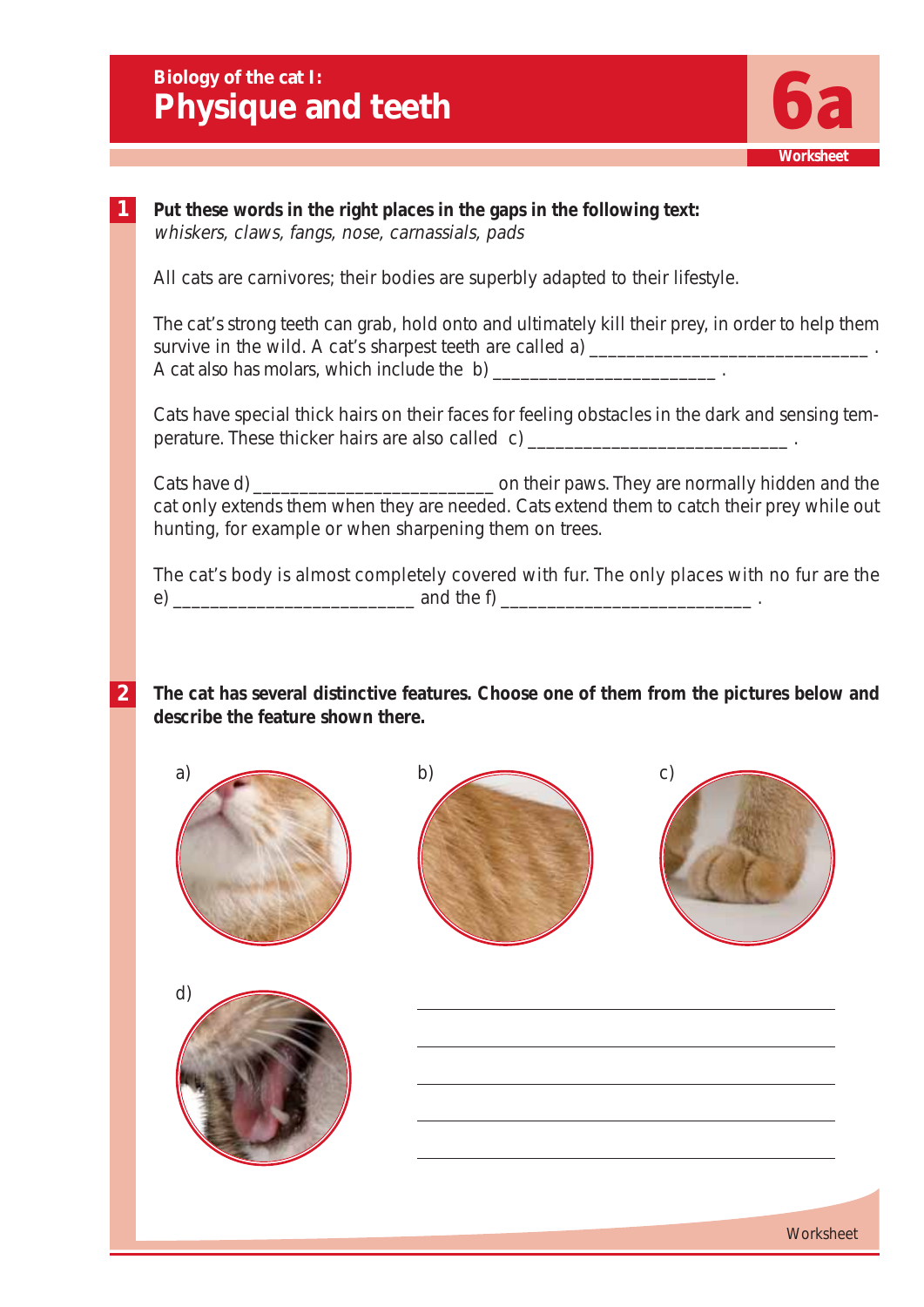**Biology of the cat I: Physique and teeth** 



## **1 Put these words in the right places in the gaps in the following text:** whiskers, claws, fangs, nose, carnassials, pads All cats are carnivores; their bodies are superbly adapted to their lifestyle. The cat's strong teeth can grab, hold onto and ultimately kill their prey, in order to help them survive in the wild. A cat's sharpest teeth are called a) \_\_\_\_\_\_\_\_\_\_\_\_\_\_\_\_\_\_\_\_\_\_\_ A cat also has molars, which include the b) \_\_\_\_\_\_\_\_\_\_\_\_\_\_\_\_\_\_\_\_\_\_\_\_ . Cats have special thick hairs on their faces for feeling obstacles in the dark and sensing temperature. These thicker hairs are also called c) \_\_\_\_\_\_\_\_\_\_\_\_\_\_\_\_\_\_\_\_\_\_\_\_\_\_\_\_\_\_\_. Cats have d) \_\_\_\_\_\_\_\_\_\_\_\_\_\_\_\_\_\_\_\_\_\_\_\_\_\_ on their paws. They are normally hidden and the cat only extends them when they are needed. Cats extend them to catch their prey while out hunting, for example or when sharpening them on trees. The cat's body is almost completely covered with fur. The only places with no fur are the e)  $\frac{1}{2}$  and the f)  $\frac{1}{2}$  and the f)  $\frac{1}{2}$  .

**2 The cat has several distinctive features. Choose one of them from the pictures below and describe the feature shown there.**









**Worksheet**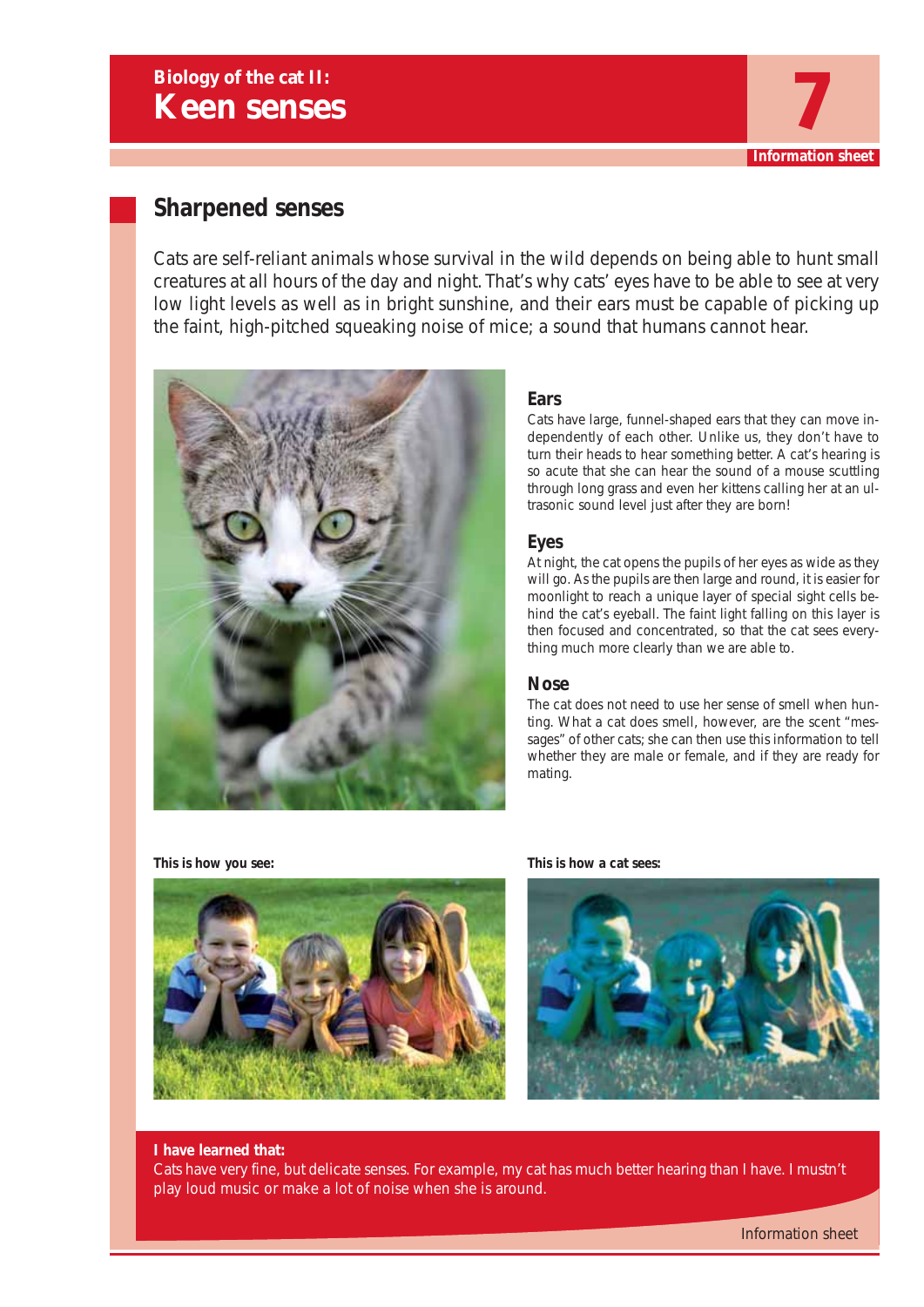## **Sharpened senses**

Cats are self-reliant animals whose survival in the wild depends on being able to hunt small creatures at all hours of the day and night. That's why cats' eyes have to be able to see at very low light levels as well as in bright sunshine, and their ears must be capable of picking up the faint, high-pitched squeaking noise of mice; a sound that humans cannot hear.



## **Ears**

Cats have large, funnel-shaped ears that they can move independently of each other. Unlike us, they don't have to turn their heads to hear something better. A cat's hearing is so acute that she can hear the sound of a mouse scuttling through long grass and even her kittens calling her at an ultrasonic sound level just after they are born!

**Information sheet**

## **Eyes**

At night, the cat opens the pupils of her eyes as wide as they will go. As the pupils are then large and round, it is easier for moonlight to reach a unique layer of special sight cells behind the cat's eyeball. The faint light falling on this layer is then focused and concentrated, so that the cat sees everything much more clearly than we are able to.

### **Nose**

The cat does not need to use her sense of smell when hunting. What a cat does smell, however, are the scent "messages" of other cats; she can then use this information to tell whether they are male or female, and if they are ready for mating.



**This is how you see: This is how a cat sees:**



#### **I have learned that:**

Cats have very fine, but delicate senses. For example, my cat has much better hearing than I have. I mustn't play loud music or make a lot of noise when she is around.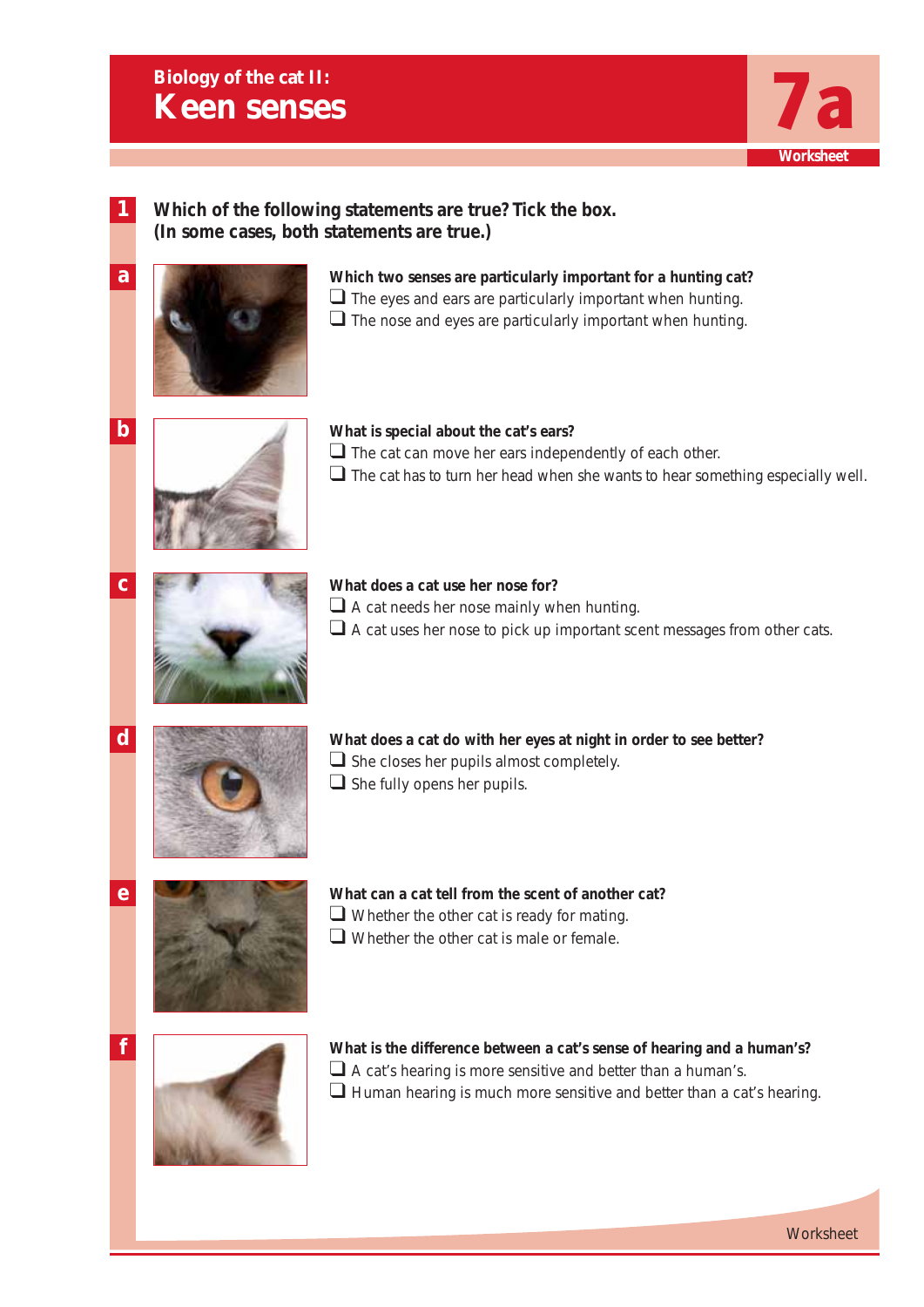

**1**

**a**

## **Which of the following statements are true? Tick the box. (In some cases, both statements are true.)**

## **Which two senses are particularly important for a hunting cat?**

- $\Box$  The eyes and ears are particularly important when hunting.
- $\Box$  The nose and eyes are particularly important when hunting.



## **What is special about the cat's ears?** ❑ The cat can move her ears independently of each other.

 $\square$  The cat has to turn her head when she wants to hear something especially well.



## **What does a cat use her nose for?**

- $\Box$  A cat needs her nose mainly when hunting.
- $\square$  A cat uses her nose to pick up important scent messages from other cats.



**What does a cat do with her eyes at night in order to see better?**  $\Box$  She closes her pupils almost completely.  $\Box$  She fully opens her pupils.

- **e**
- **What can a cat tell from the scent of another cat?**  $\Box$  Whether the other cat is ready for mating.
- ❑ Whether the other cat is male or female.



**What is the difference between a cat's sense of hearing and a human's?** □ A cat's hearing is more sensitive and better than a human's.  $\Box$  Human hearing is much more sensitive and better than a cat's hearing.

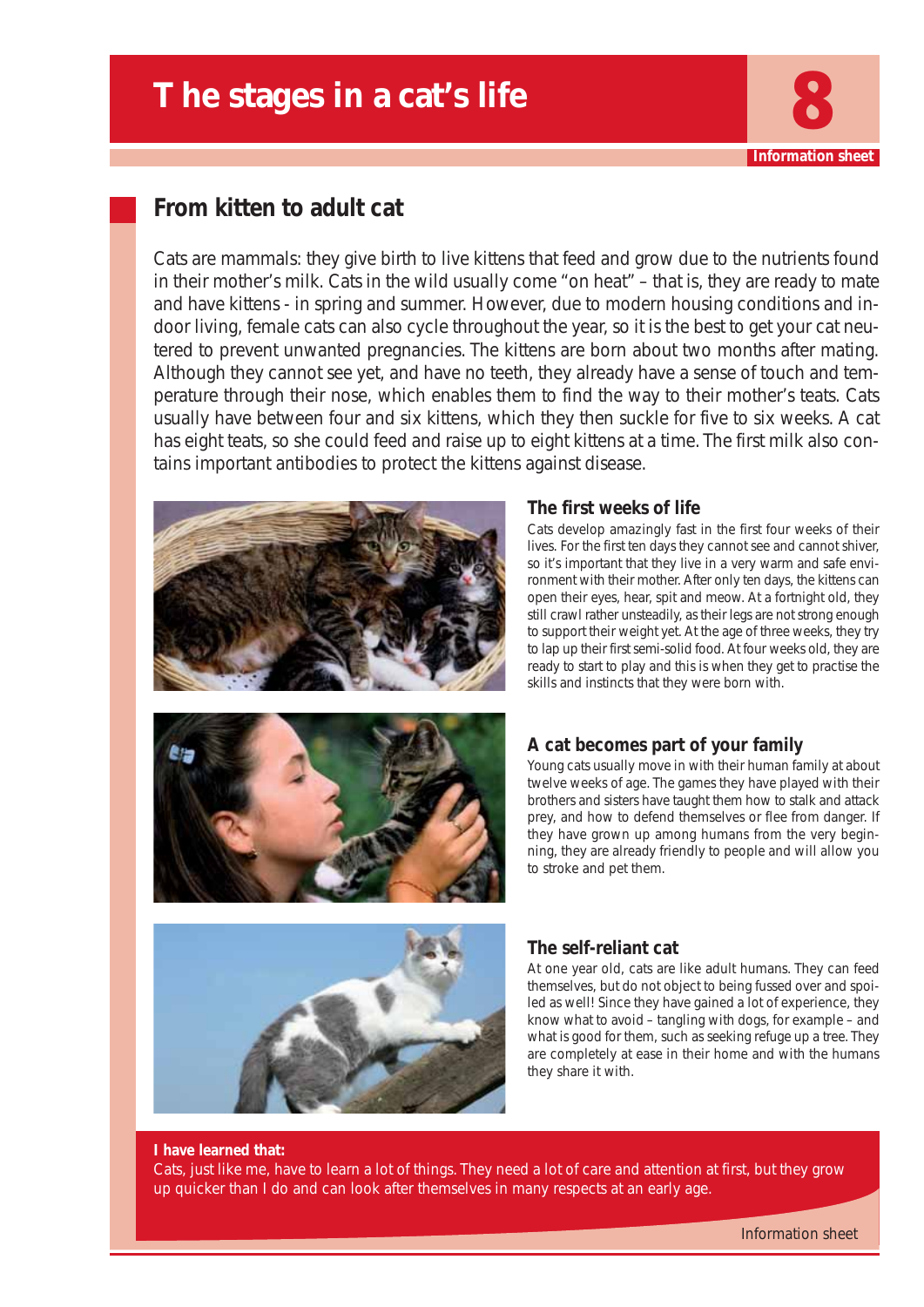## **The stages in a cat's life**

## **From kitten to adult cat**

Cats are mammals: they give birth to live kittens that feed and grow due to the nutrients found in their mother's milk. Cats in the wild usually come "on heat" – that is, they are ready to mate and have kittens - in spring and summer. However, due to modern housing conditions and indoor living, female cats can also cycle throughout the year, so it is the best to get your cat neutered to prevent unwanted pregnancies. The kittens are born about two months after mating. Although they cannot see yet, and have no teeth, they already have a sense of touch and temperature through their nose, which enables them to find the way to their mother's teats. Cats usually have between four and six kittens, which they then suckle for five to six weeks. A cat has eight teats, so she could feed and raise up to eight kittens at a time. The first milk also contains important antibodies to protect the kittens against disease.





## **The first weeks of life**

Cats develop amazingly fast in the first four weeks of their lives. For the first ten days they cannot see and cannot shiver, so it's important that they live in a very warm and safe environment with their mother. After only ten days, the kittens can open their eyes, hear, spit and meow. At a fortnight old, they still crawl rather unsteadily, as their legs are not strong enough to support their weight yet. At the age of three weeks, they try to lap up their first semi-solid food. At four weeks old, they are ready to start to play and this is when they get to practise the skills and instincts that they were born with.

**Information shee** 

## **A cat becomes part of your family**

Young cats usually move in with their human family at about twelve weeks of age. The games they have played with their brothers and sisters have taught them how to stalk and attack prey, and how to defend themselves or flee from danger. If they have grown up among humans from the very beginning, they are already friendly to people and will allow you to stroke and pet them.



## **The self-reliant cat**

At one year old, cats are like adult humans. They can feed themselves, but do not object to being fussed over and spoiled as well! Since they have gained a lot of experience, they know what to avoid – tangling with dogs, for example – and what is good for them, such as seeking refuge up a tree. They are completely at ease in their home and with the humans they share it with.

#### **I have learned that:**

Cats, just like me, have to learn a lot of things. They need a lot of care and attention at first, but they grow up quicker than I do and can look after themselves in many respects at an early age.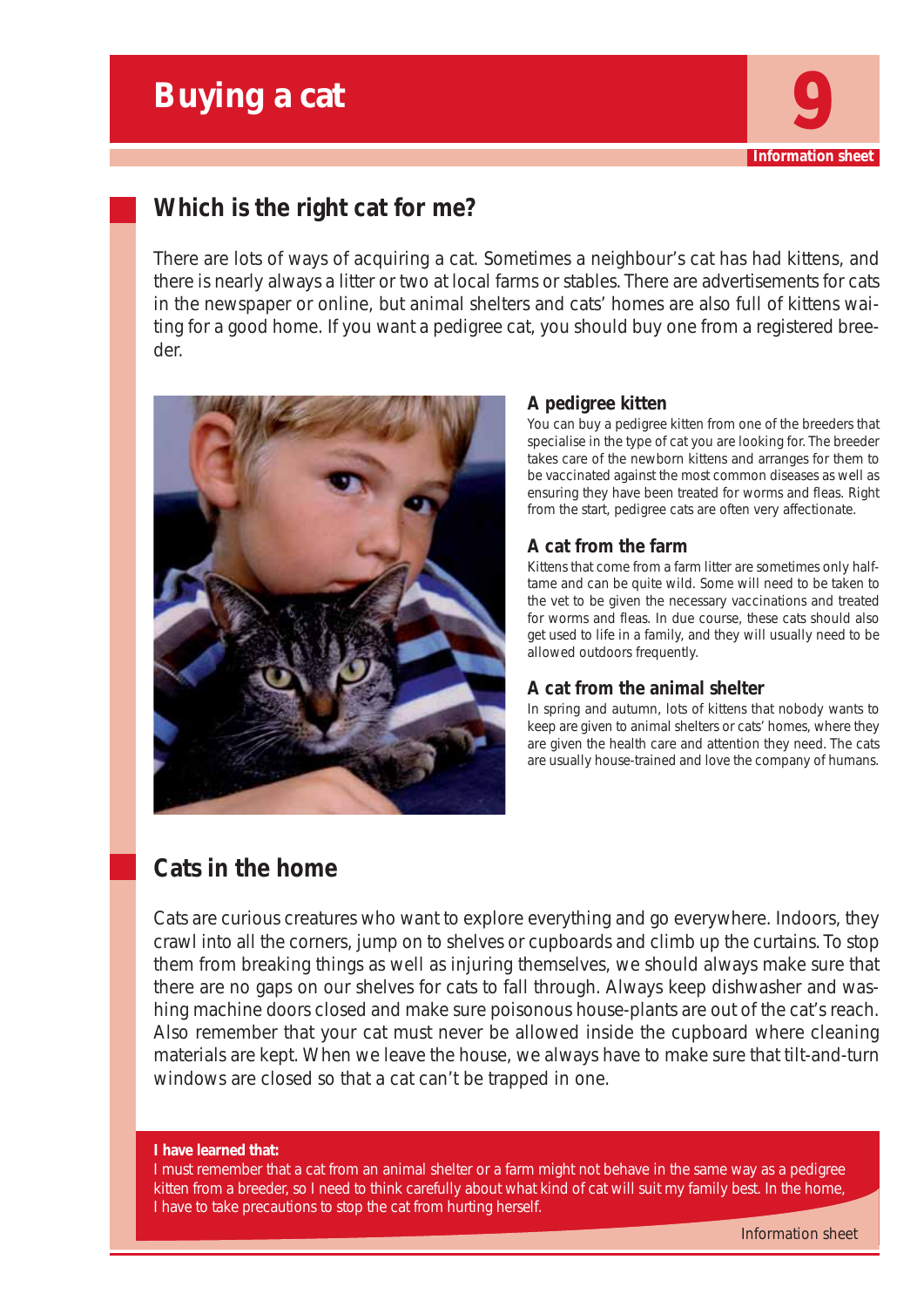## **Buying a cat**



## **Which is the right cat for me?**

There are lots of ways of acquiring a cat. Sometimes a neighbour's cat has had kittens, and there is nearly always a litter or two at local farms or stables. There are advertisements for cats in the newspaper or online, but animal shelters and cats' homes are also full of kittens waiting for a good home. If you want a pedigree cat, you should buy one from a registered breeder.



## **A pedigree kitten**

You can buy a pedigree kitten from one of the breeders that specialise in the type of cat you are looking for. The breeder takes care of the newborn kittens and arranges for them to be vaccinated against the most common diseases as well as ensuring they have been treated for worms and fleas. Right from the start, pedigree cats are often very affectionate.

## **A cat from the farm**

Kittens that come from a farm litter are sometimes only halftame and can be quite wild. Some will need to be taken to the vet to be given the necessary vaccinations and treated for worms and fleas. In due course, these cats should also get used to life in a family, and they will usually need to be allowed outdoors frequently.

## **A cat from the animal shelter**

In spring and autumn, lots of kittens that nobody wants to keep are given to animal shelters or cats' homes, where they are given the health care and attention they need. The cats are usually house-trained and love the company of humans.

## **Cats in the home**

Cats are curious creatures who want to explore everything and go everywhere. Indoors, they crawl into all the corners, jump on to shelves or cupboards and climb up the curtains. To stop them from breaking things as well as injuring themselves, we should always make sure that there are no gaps on our shelves for cats to fall through. Always keep dishwasher and washing machine doors closed and make sure poisonous house-plants are out of the cat's reach. Also remember that your cat must never be allowed inside the cupboard where cleaning materials are kept. When we leave the house, we always have to make sure that tilt-and-turn windows are closed so that a cat can't be trapped in one.

#### **I have learned that:**

I must remember that a cat from an animal shelter or a farm might not behave in the same way as a pedigree kitten from a breeder, so I need to think carefully about what kind of cat will suit my family best. In the home, I have to take precautions to stop the cat from hurting herself.

Information sheet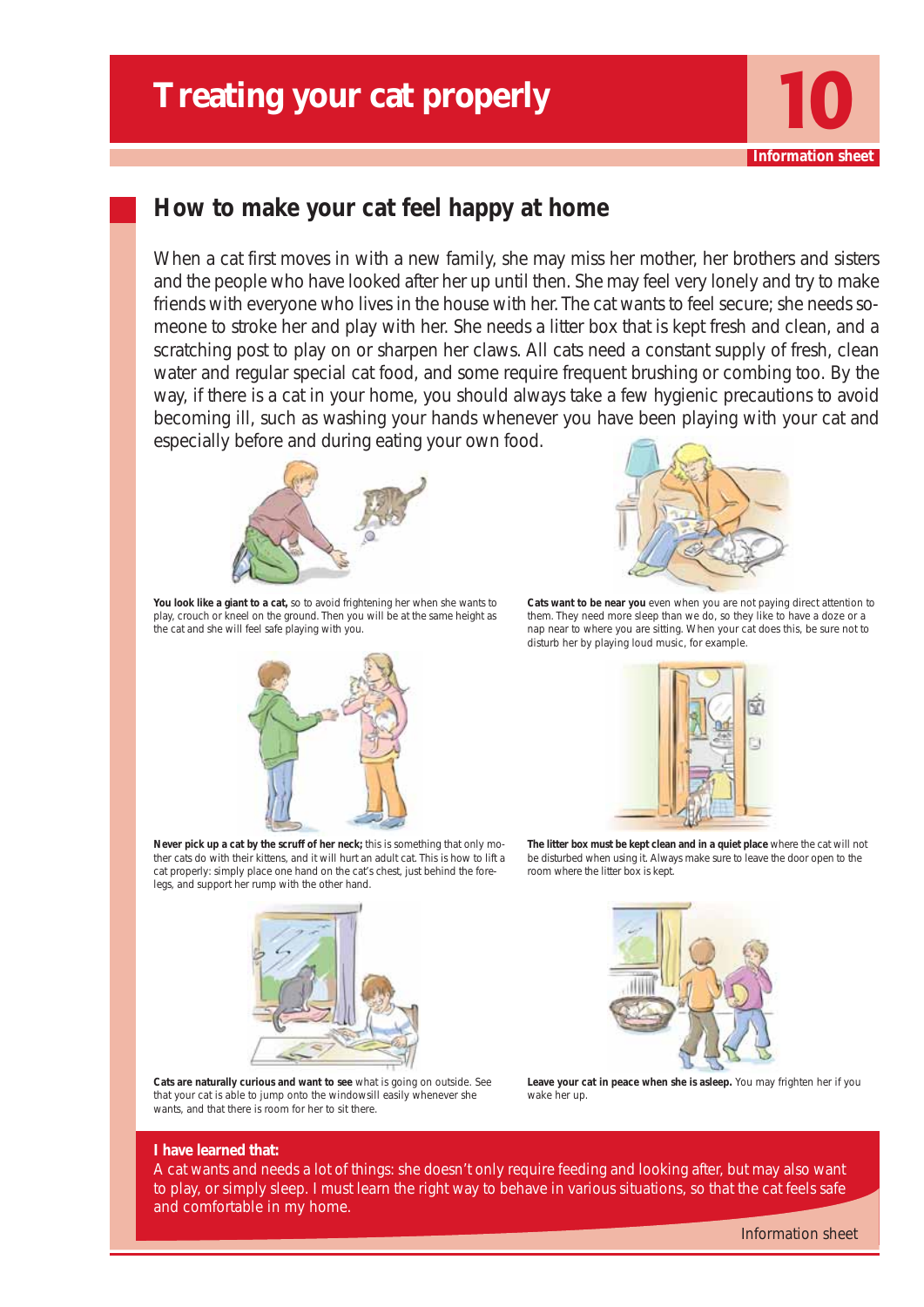

## **How to make your cat feel happy at home**

When a cat first moves in with a new family, she may miss her mother, her brothers and sisters and the people who have looked after her up until then. She may feel very lonely and try to make friends with everyone who lives in the house with her. The cat wants to feel secure; she needs someone to stroke her and play with her. She needs a litter box that is kept fresh and clean, and a scratching post to play on or sharpen her claws. All cats need a constant supply of fresh, clean water and regular special cat food, and some require frequent brushing or combing too. By the way, if there is a cat in your home, you should always take a few hygienic precautions to avoid becoming ill, such as washing your hands whenever you have been playing with your cat and especially before and during eating your own food.



**You look like a giant to a cat,** so to avoid frightening her when she wants to play, crouch or kneel on the ground. Then you will be at the same height as the cat and she will feel safe playing with you.





**Cats want to be near you** even when you are not paying direct attention to them. They need more sleep than we do, so they like to have a doze or a nap near to where you are sitting. When your cat does this, be sure not to disturb her by playing loud music, for example.



**The litter box must be kept clean and in a quiet place** where the cat will not be disturbed when using it. Always make sure to leave the door open to the room where the litter box is kept.





**Cats are naturally curious and want to see** what is going on outside. See that your cat is able to jump onto the windowsill easily whenever she wants, and that there is room for her to sit there.



**Leave your cat in peace when she is asleep.** You may frighten her if you wake her up.

#### **I have learned that:**

A cat wants and needs a lot of things: she doesn't only require feeding and looking after, but may also want to play, or simply sleep. I must learn the right way to behave in various situations, so that the cat feels safe and comfortable in my home.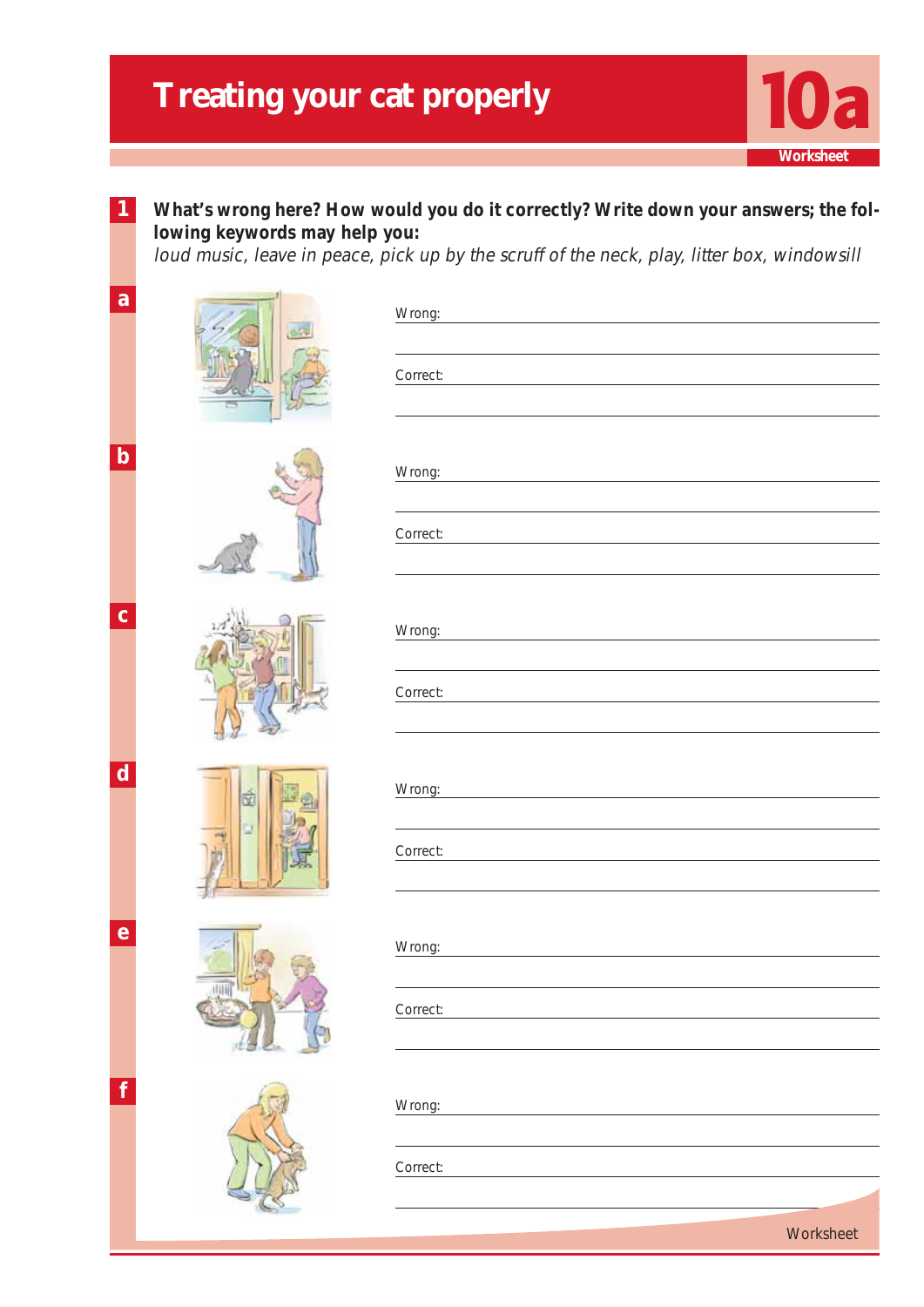**1**



## What's wrong here? How would you do it correctly? Write down your answers; the fol**lowing keywords may help you:**

loud music, leave in peace, pick up by the scruff of the neck, play, litter box, windowsill

| a           | Wrong:<br>the control of the control of the control of the control of the control of |
|-------------|--------------------------------------------------------------------------------------|
|             | Correct:                                                                             |
| $\mathbf b$ | Wrong:                                                                               |
|             | Correct:                                                                             |
| $\mathbf c$ | Wrong:                                                                               |
|             | Correct:                                                                             |
| $\mathbf d$ | Wrong:                                                                               |
|             | Correct:                                                                             |
| $\mathbf e$ | Wrong:                                                                               |
|             | Correct:                                                                             |
| f           | Wrong:                                                                               |
|             | Correct:                                                                             |
|             | Worksheet                                                                            |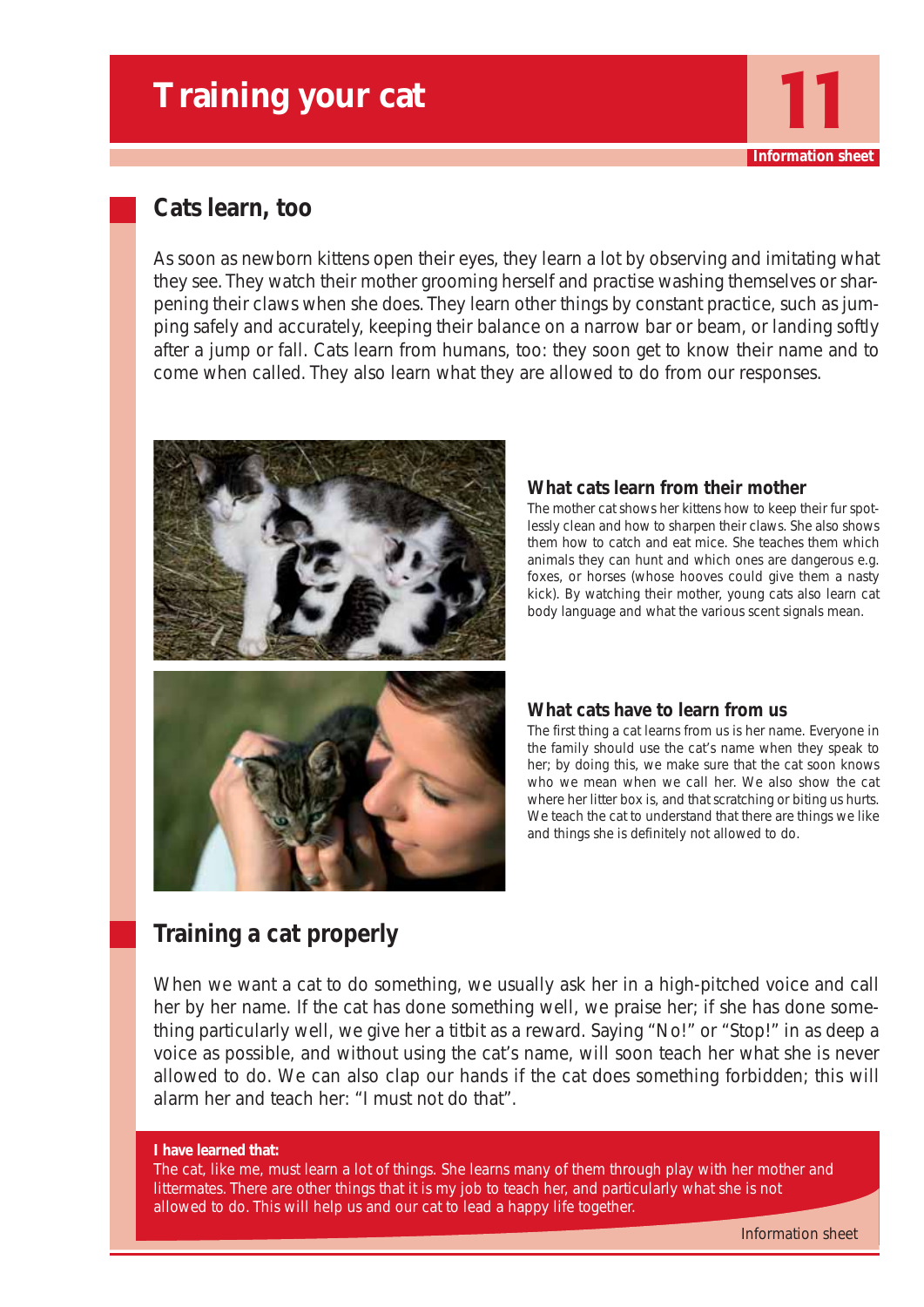## **Training your cat**

## **Cats learn, too**

As soon as newborn kittens open their eyes, they learn a lot by observing and imitating what they see. They watch their mother grooming herself and practise washing themselves or sharpening their claws when she does. They learn other things by constant practice, such as jumping safely and accurately, keeping their balance on a narrow bar or beam, or landing softly after a jump or fall. Cats learn from humans, too: they soon get to know their name and to come when called. They also learn what they are allowed to do from our responses.



## **What cats learn from their mother**

The mother cat shows her kittens how to keep their fur spotlessly clean and how to sharpen their claws. She also shows them how to catch and eat mice. She teaches them which animals they can hunt and which ones are dangerous e.g. foxes, or horses (whose hooves could give them a nasty kick). By watching their mother, young cats also learn cat body language and what the various scent signals mean.

**Information shee** 

## **What cats have to learn from us**

The first thing a cat learns from us is her name. Everyone in the family should use the cat's name when they speak to her; by doing this, we make sure that the cat soon knows who we mean when we call her. We also show the cat where her litter box is, and that scratching or biting us hurts. We teach the cat to understand that there are things we like and things she is definitely not allowed to do.

## **Training a cat properly**

When we want a cat to do something, we usually ask her in a high-pitched voice and call her by her name. If the cat has done something well, we praise her; if she has done something particularly well, we give her a titbit as a reward. Saying "No!" or "Stop!" in as deep a voice as possible, and without using the cat's name, will soon teach her what she is never allowed to do. We can also clap our hands if the cat does something forbidden; this will alarm her and teach her: "I must not do that".

#### **I have learned that:**

The cat, like me, must learn a lot of things. She learns many of them through play with her mother and littermates. There are other things that it is my job to teach her, and particularly what she is not allowed to do. This will help us and our cat to lead a happy life together.

Information sheet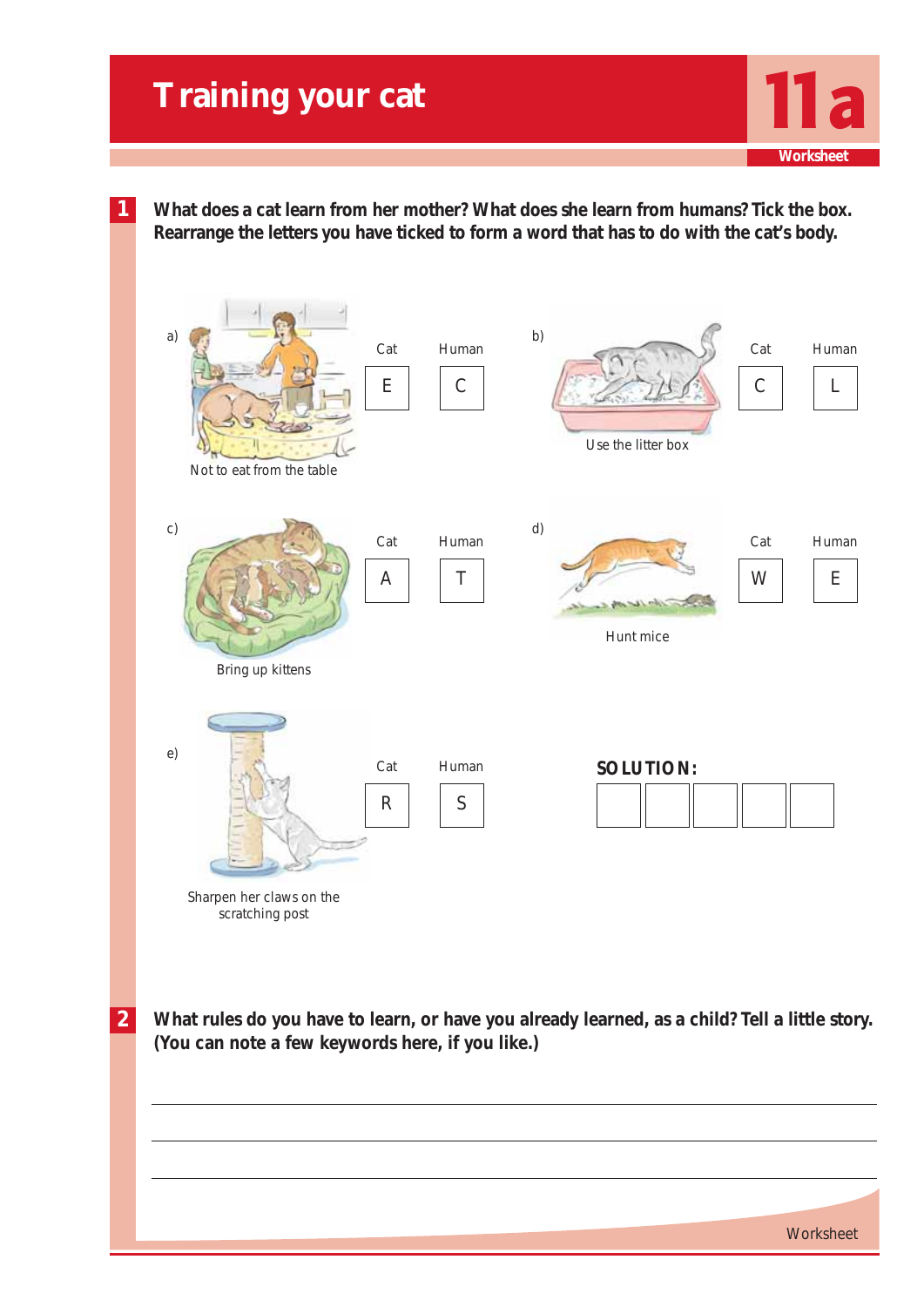**1 What does a cat learn from her mother? What does she learn from humans? Tick the box. Rearrange the letters you have ticked to form a word that has to do with the cat's body.**



**2 What rules do you have to learn, or have you already learned, as a child? Tell a little story. (You can note a few keywords here, if you like.)**

**Worksheet**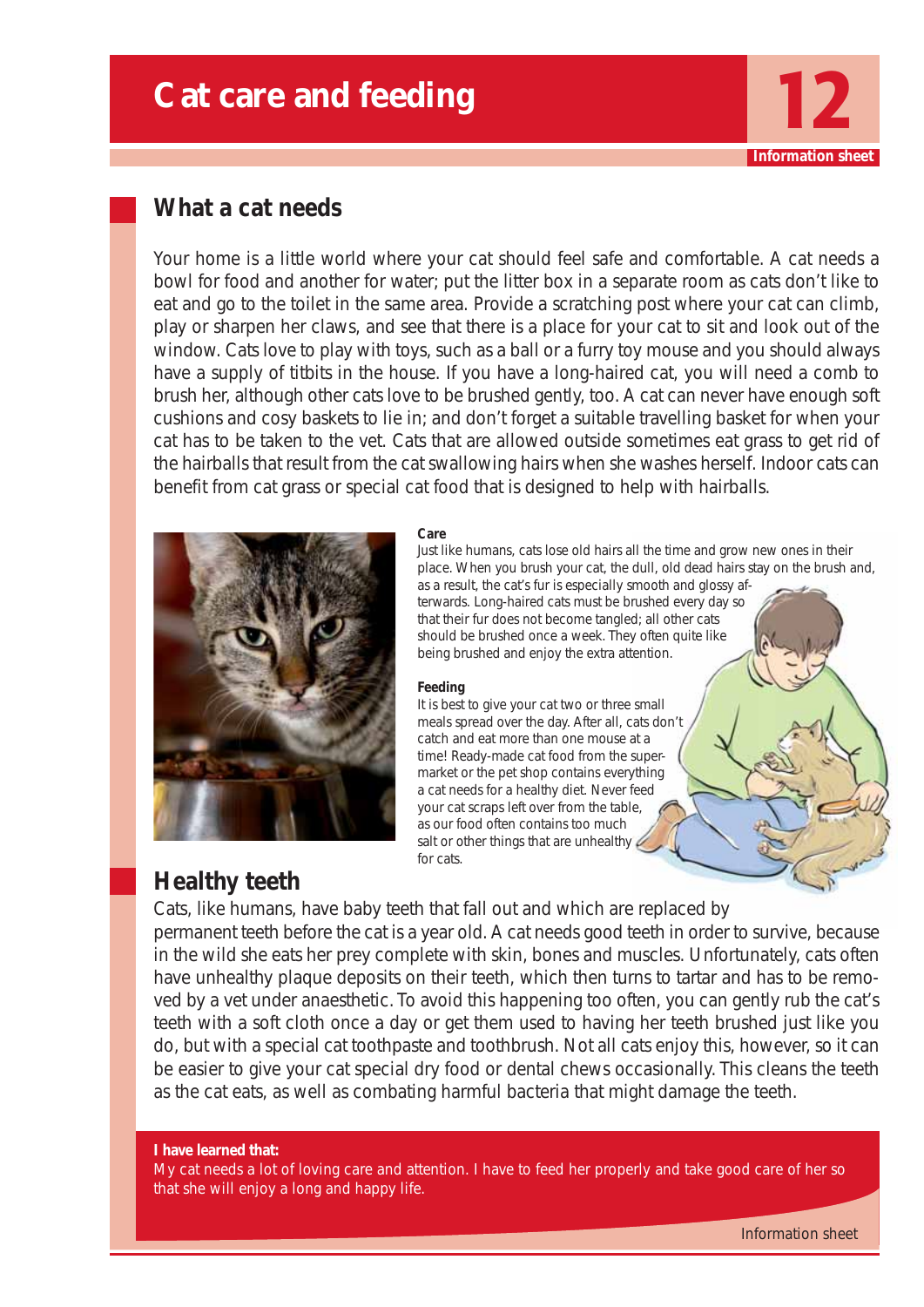## **Cat care and feeding**

## **What a cat needs**

Your home is a little world where your cat should feel safe and comfortable. A cat needs a bowl for food and another for water; put the litter box in a separate room as cats don't like to eat and go to the toilet in the same area. Provide a scratching post where your cat can climb, play or sharpen her claws, and see that there is a place for your cat to sit and look out of the window. Cats love to play with toys, such as a ball or a furry toy mouse and you should always have a supply of titbits in the house. If you have a long-haired cat, you will need a comb to brush her, although other cats love to be brushed gently, too. A cat can never have enough soft cushions and cosy baskets to lie in; and don't forget a suitable travelling basket for when your cat has to be taken to the vet. Cats that are allowed outside sometimes eat grass to get rid of the hairballs that result from the cat swallowing hairs when she washes herself. Indoor cats can benefit from cat grass or special cat food that is designed to help with hairballs.



#### **Care**

Just like humans, cats lose old hairs all the time and grow new ones in their place. When you brush your cat, the dull, old dead hairs stay on the brush and, as a result, the cat's fur is especially smooth and glossy af-

terwards. Long-haired cats must be brushed every day so that their fur does not become tangled; all other cats should be brushed once a week. They often quite like being brushed and enjoy the extra attention.

#### **Feeding**

It is best to give your cat two or three small meals spread over the day. After all, cats don't catch and eat more than one mouse at a time! Ready-made cat food from the supermarket or the pet shop contains everything a cat needs for a healthy diet. Never feed your cat scraps left over from the table, as our food often contains too much salt or other things that are unhealthy  $\angle$ for cats.

## **Healthy teeth**

Cats, like humans, have baby teeth that fall out and which are replaced by permanent teeth before the cat is a year old. A cat needs good teeth in order to survive, because in the wild she eats her prey complete with skin, bones and muscles. Unfortunately, cats often have unhealthy plaque deposits on their teeth, which then turns to tartar and has to be removed by a vet under anaesthetic. To avoid this happening too often, you can gently rub the cat's teeth with a soft cloth once a day or get them used to having her teeth brushed just like you do, but with a special cat toothpaste and toothbrush. Not all cats enjoy this, however, so it can be easier to give your cat special dry food or dental chews occasionally. This cleans the teeth as the cat eats, as well as combating harmful bacteria that might damage the teeth.

#### **I have learned that:**

My cat needs a lot of loving care and attention. I have to feed her properly and take good care of her so that she will enjoy a long and happy life.

**Information shee**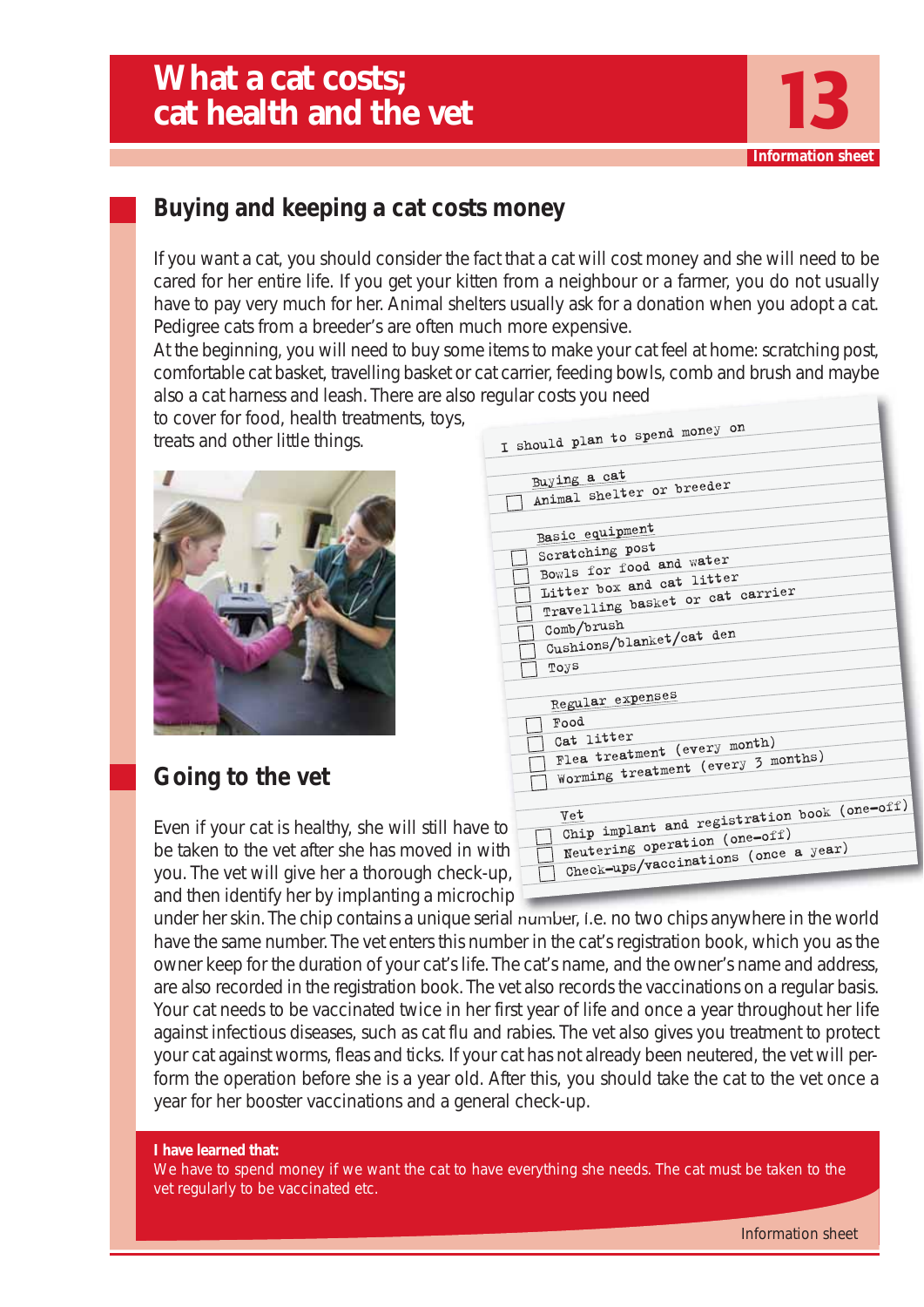

## **Buying and keeping a cat costs money**

If you want a cat, you should consider the fact that a cat will cost money and she will need to be cared for her entire life. If you get your kitten from a neighbour or a farmer, you do not usually have to pay very much for her. Animal shelters usually ask for a donation when you adopt a cat. Pedigree cats from a breeder's are often much more expensive.

At the beginning, you will need to buy some items to make your cat feel at home: scratching post, comfortable cat basket, travelling basket or cat carrier, feeding bowls, comb and brush and maybe also a cat harness and leash. There are also regular costs you need

to cover for food, health treatments, toys, treats and other little things.



## **Going to the vet**

Even if your cat is healthy, she will still have be taken to the vet after she has moved in with you. The vet will give her a thorough check-u and then identify her by implanting a microchip

| I should plan to spend money on                                    |
|--------------------------------------------------------------------|
|                                                                    |
| Buying a cat                                                       |
| Animal shelter or breeder                                          |
|                                                                    |
| Basic equipment                                                    |
| Scratching post                                                    |
| Bowls for food and water                                           |
| Litter box and cat litter                                          |
| Travelling basket or cat carrier                                   |
|                                                                    |
| Comb/brush<br>Cushions/blanket/cat den                             |
|                                                                    |
| Toys                                                               |
|                                                                    |
| Regular expenses                                                   |
| Food                                                               |
| Cat litter                                                         |
| Flea treatment (every month)<br>Worming treatment (every 3 months) |
|                                                                    |
|                                                                    |
| Chip implant and registration book (one-off)<br>Vet                |
| to                                                                 |
| Neutering operation (one-off)<br>ith                               |
| Check-ups/vaccinations (once a year)                               |
| Jp,                                                                |
|                                                                    |

under her skin. The chip contains a unique serial number, i.e. no two chips anywhere in the world have the same number. The vet enters this number in the cat's registration book, which you as the owner keep for the duration of your cat's life. The cat's name, and the owner's name and address, are also recorded in the registration book. The vet also records the vaccinations on a regular basis. Your cat needs to be vaccinated twice in her first year of life and once a year throughout her life against infectious diseases, such as cat flu and rabies. The vet also gives you treatment to protect your cat against worms, fleas and ticks. If your cat has not already been neutered, the vet will perform the operation before she is a year old. After this, you should take the cat to the vet once a year for her booster vaccinations and a general check-up.

#### **I have learned that:**

We have to spend money if we want the cat to have everything she needs. The cat must be taken to the vet regularly to be vaccinated etc.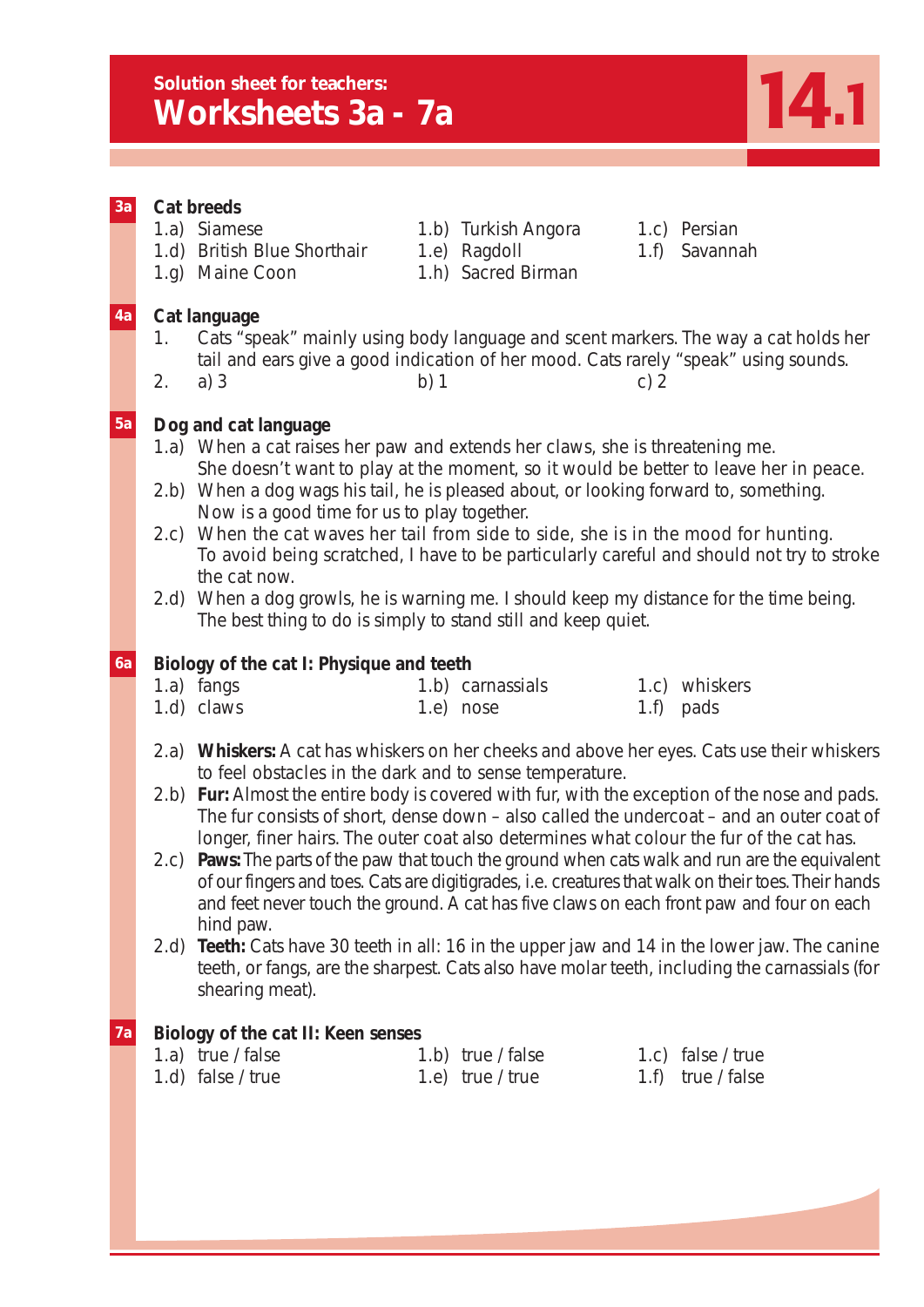## **Solution sheet for teachers: Explorition sheet for teachers:**<br> **Worksheets 3a - 7a 14.1**

| 3a        | Cat breeds<br>1.a) Siamese<br>1.c) Persian<br>1.b) Turkish Angora<br>1.d) British Blue Shorthair<br>1.e) Ragdoll<br>Savannah<br>1.f)<br>1.h) Sacred Birman<br>1.g) Maine Coon                                                                                                                                                                                                                                                                                                                                                                                                                                                                                                                                |
|-----------|--------------------------------------------------------------------------------------------------------------------------------------------------------------------------------------------------------------------------------------------------------------------------------------------------------------------------------------------------------------------------------------------------------------------------------------------------------------------------------------------------------------------------------------------------------------------------------------------------------------------------------------------------------------------------------------------------------------|
| 4a        | Cat language<br>Cats "speak" mainly using body language and scent markers. The way a cat holds her<br>1.<br>tail and ears give a good indication of her mood. Cats rarely "speak" using sounds.<br>2.<br>a) $3$<br>b) 1<br>c) $2$                                                                                                                                                                                                                                                                                                                                                                                                                                                                            |
| 5a        | Dog and cat language<br>1.a) When a cat raises her paw and extends her claws, she is threatening me.<br>She doesn't want to play at the moment, so it would be better to leave her in peace.<br>When a dog wags his tail, he is pleased about, or looking forward to, something.<br>(2.b)<br>Now is a good time for us to play together.<br>When the cat waves her tail from side to side, she is in the mood for hunting.<br>2.c)<br>To avoid being scratched, I have to be particularly careful and should not try to stroke<br>the cat now.<br>When a dog growls, he is warning me. I should keep my distance for the time being.<br>2.d<br>The best thing to do is simply to stand still and keep quiet. |
| <b>6a</b> | Biology of the cat I: Physique and teeth<br>1.a) fangs<br>1.b) carnassials<br>1.c) whiskers<br>1.d) claws<br>1.e)<br>nose<br>1.f)<br>pads<br>Whiskers: A cat has whiskers on her cheeks and above her eyes. Cats use their whiskers<br>(2.a)<br>to feel obstacles in the dark and to sense temperature.                                                                                                                                                                                                                                                                                                                                                                                                      |
|           | 2.b) Fur: Almost the entire body is covered with fur, with the exception of the nose and pads.<br>The fur consists of short, dense down - also called the undercoat - and an outer coat of<br>longer, finer hairs. The outer coat also determines what colour the fur of the cat has.<br>Paws: The parts of the paw that touch the ground when cats walk and run are the equivalent<br>2.c)<br>of our fingers and toes. Cats are digitigrades, i.e. creatures that walk on their toes. Their hands<br>and feet never touch the ground. A cat has five claws on each front paw and four on each                                                                                                               |
|           | hind paw.<br>Teeth: Cats have 30 teeth in all: 16 in the upper jaw and 14 in the lower jaw. The canine<br>$2.d$ )<br>teeth, or fangs, are the sharpest. Cats also have molar teeth, including the carnassials (for<br>shearing meat).                                                                                                                                                                                                                                                                                                                                                                                                                                                                        |
| 7a        | Biology of the cat II: Keen senses<br>1.a) true / false<br>1.c) false / true<br>1.b) true / false<br>1.d) false / true<br>1.e) true / true<br>1.f) $true / false$                                                                                                                                                                                                                                                                                                                                                                                                                                                                                                                                            |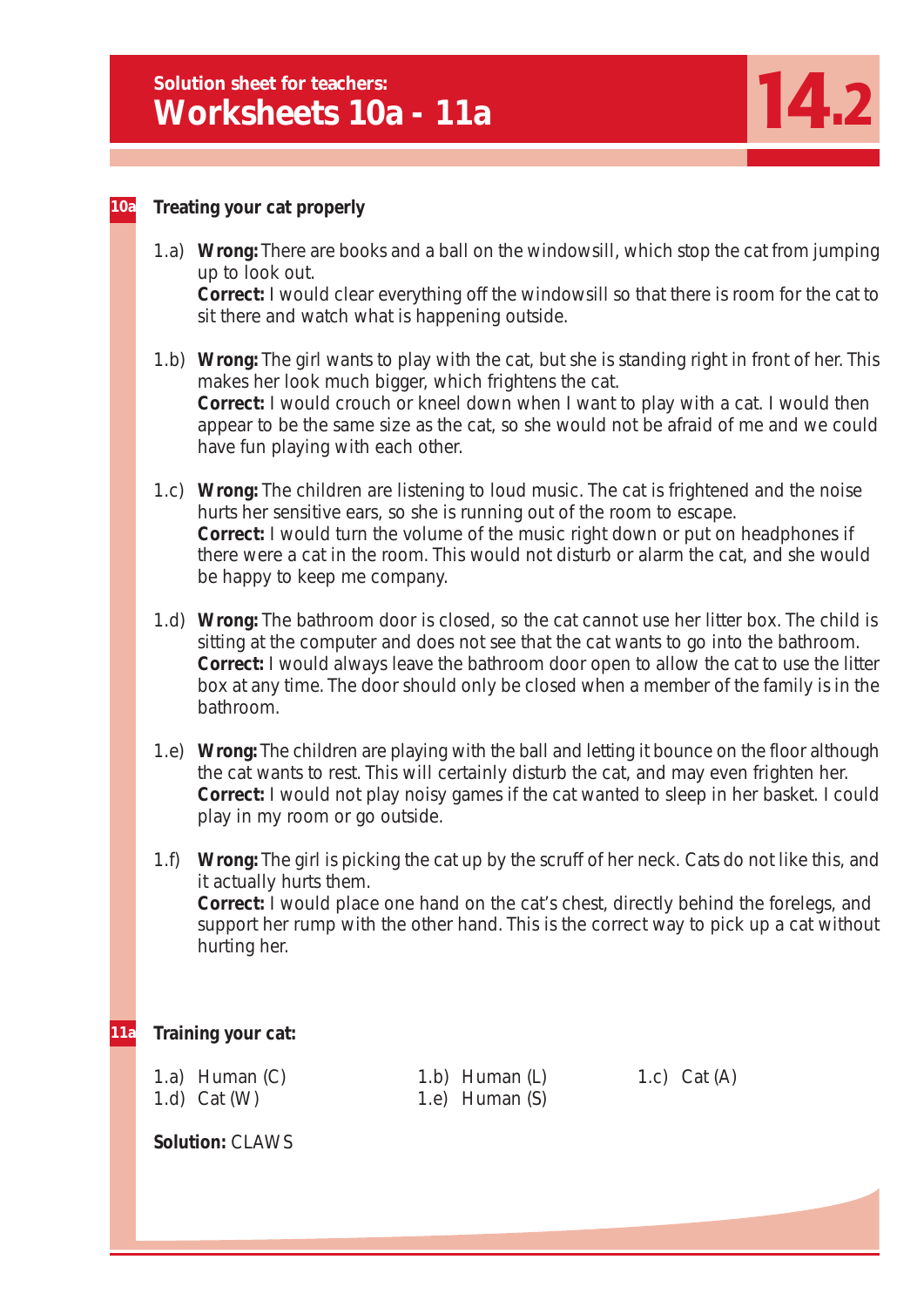

#### **Treating your cat properly 10a**

- 1.a) **Wrong:** There are books and a ball on the windowsill, which stop the cat from jumping up to look out. **Correct:** I would clear everything off the windowsill so that there is room for the cat to sit there and watch what is happening outside.
- 1.b) **Wrong:** The girl wants to play with the cat, but she is standing right in front of her. This makes her look much bigger, which frightens the cat. **Correct:** I would crouch or kneel down when I want to play with a cat. I would then appear to be the same size as the cat, so she would not be afraid of me and we could have fun playing with each other.
- 1.c) **Wrong:** The children are listening to loud music. The cat is frightened and the noise hurts her sensitive ears, so she is running out of the room to escape. **Correct:** I would turn the volume of the music right down or put on headphones if there were a cat in the room. This would not disturb or alarm the cat, and she would be happy to keep me company.
- 1.d) **Wrong:** The bathroom door is closed, so the cat cannot use her litter box. The child is sitting at the computer and does not see that the cat wants to go into the bathroom. **Correct:** I would always leave the bathroom door open to allow the cat to use the litter box at any time. The door should only be closed when a member of the family is in the bathroom.
- 1.e) **Wrong:** The children are playing with the ball and letting it bounce on the floor although the cat wants to rest. This will certainly disturb the cat, and may even frighten her. **Correct:** I would not play noisy games if the cat wanted to sleep in her basket. I could play in my room or go outside.
- 1.f) **Wrong:** The girl is picking the cat up by the scruff of her neck. Cats do not like this, and it actually hurts them. **Correct:** I would place one hand on the cat's chest, directly behind the forelegs, and support her rump with the other hand. This is the correct way to pick up a cat without hurting her.

#### **Training your cat: 11a**

1.a) Human (C) 1.b) Human (L) 1.c) Cat (A)

1.d) Cat (W) 1.e) Human (S)

**Solution:** CLAWS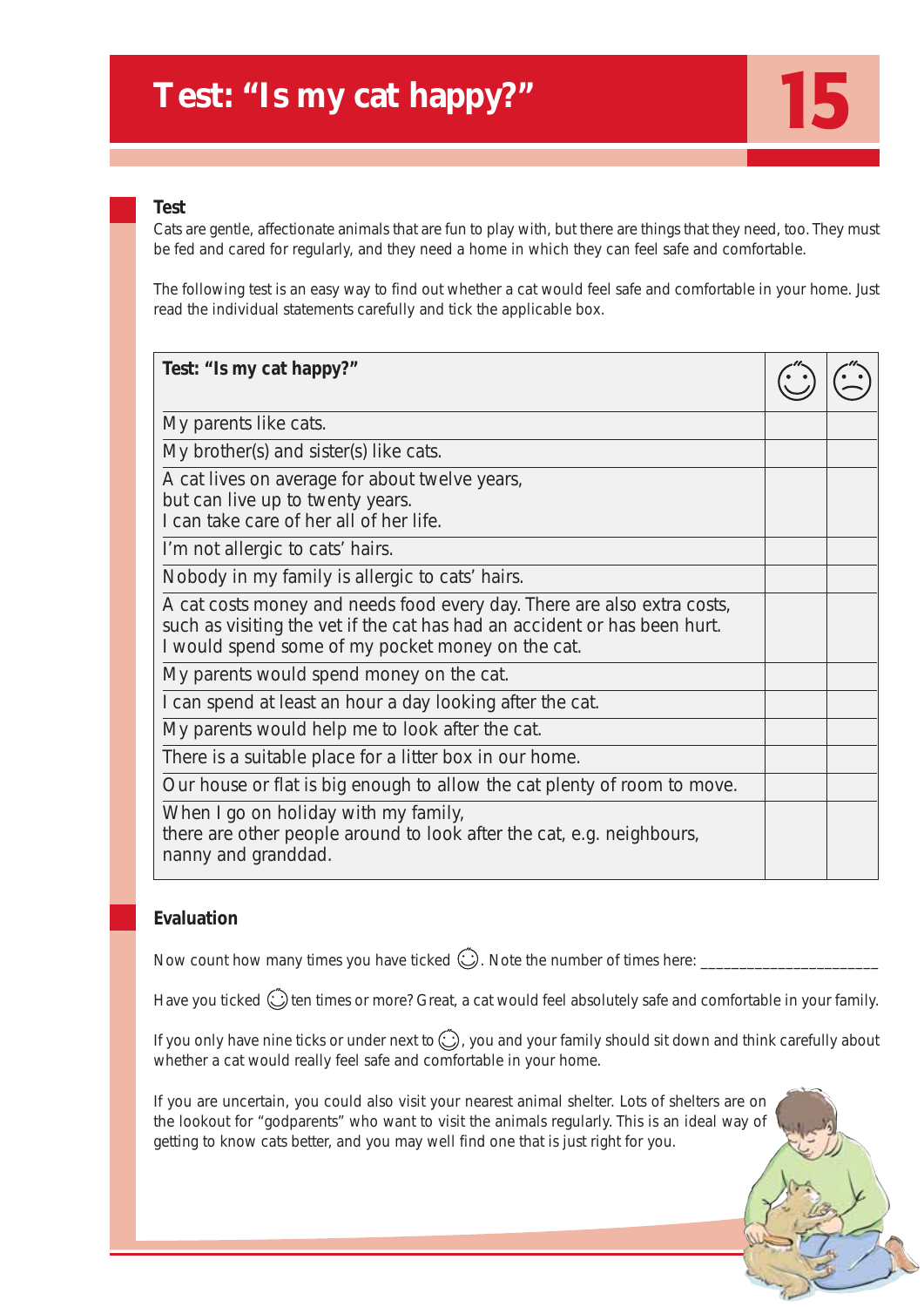## **Test: "Is my cat happy?"**

## **Test**

Cats are gentle, affectionate animals that are fun to play with, but there are things that they need, too. They must be fed and cared for regularly, and they need a home in which they can feel safe and comfortable.

15

The following test is an easy way to find out whether a cat would feel safe and comfortable in your home. Just read the individual statements carefully and tick the applicable box.

| Test: "Is my cat happy?"                                                                                                                                                                                  |  |
|-----------------------------------------------------------------------------------------------------------------------------------------------------------------------------------------------------------|--|
| My parents like cats.                                                                                                                                                                                     |  |
| My brother(s) and sister(s) like cats.                                                                                                                                                                    |  |
| A cat lives on average for about twelve years,<br>but can live up to twenty years.<br>I can take care of her all of her life.                                                                             |  |
| I'm not allergic to cats' hairs.                                                                                                                                                                          |  |
| Nobody in my family is allergic to cats' hairs.                                                                                                                                                           |  |
| A cat costs money and needs food every day. There are also extra costs,<br>such as visiting the vet if the cat has had an accident or has been hurt.<br>I would spend some of my pocket money on the cat. |  |
| My parents would spend money on the cat.                                                                                                                                                                  |  |
| I can spend at least an hour a day looking after the cat.                                                                                                                                                 |  |
| My parents would help me to look after the cat.                                                                                                                                                           |  |
| There is a suitable place for a litter box in our home.                                                                                                                                                   |  |
| Our house or flat is big enough to allow the cat plenty of room to move.                                                                                                                                  |  |
| When I go on holiday with my family,<br>there are other people around to look after the cat, e.g. neighbours,<br>nanny and granddad.                                                                      |  |

## **Evaluation**

Now count how many times you have ticked  $\bigodot$ . Note the number of times here:

Have you ticked  $\circled{c}$  ten times or more? Great, a cat would feel absolutely safe and comfortable in your family.

If you only have nine ticks or under next to  $\bigodot$ , you and your family should sit down and think carefully about whether a cat would really feel safe and comfortable in your home.

If you are uncertain, you could also visit your nearest animal shelter. Lots of shelters are on the lookout for "godparents" who want to visit the animals regularly. This is an ideal way of getting to know cats better, and you may well find one that is just right for you.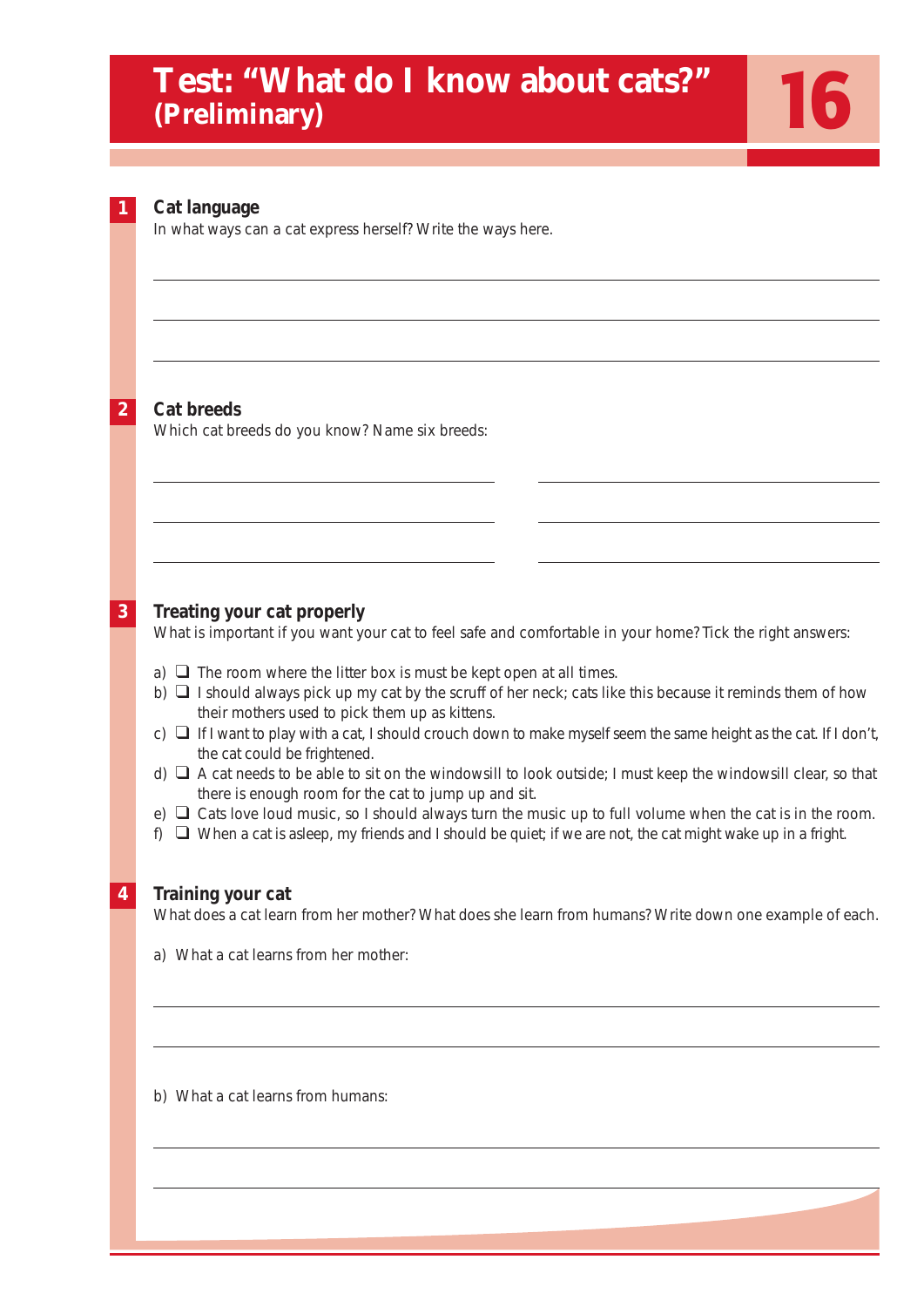## **Test: "What do I know about cats?" (Preliminary)**

**2**

| <b>Test: "What do I know about cats?"</b><br>(Preliminary)                                                                                                                                                                 |                                                                                                                                                                                                                                                                                                                                                                                                                                                                                                                                                                                                                                                                                                                                                                                                                                                            |
|----------------------------------------------------------------------------------------------------------------------------------------------------------------------------------------------------------------------------|------------------------------------------------------------------------------------------------------------------------------------------------------------------------------------------------------------------------------------------------------------------------------------------------------------------------------------------------------------------------------------------------------------------------------------------------------------------------------------------------------------------------------------------------------------------------------------------------------------------------------------------------------------------------------------------------------------------------------------------------------------------------------------------------------------------------------------------------------------|
| Cat language<br>In what ways can a cat express herself? Write the ways here.                                                                                                                                               |                                                                                                                                                                                                                                                                                                                                                                                                                                                                                                                                                                                                                                                                                                                                                                                                                                                            |
|                                                                                                                                                                                                                            |                                                                                                                                                                                                                                                                                                                                                                                                                                                                                                                                                                                                                                                                                                                                                                                                                                                            |
| Which cat breeds do you know? Name six breeds:                                                                                                                                                                             |                                                                                                                                                                                                                                                                                                                                                                                                                                                                                                                                                                                                                                                                                                                                                                                                                                                            |
| Treating your cat properly                                                                                                                                                                                                 |                                                                                                                                                                                                                                                                                                                                                                                                                                                                                                                                                                                                                                                                                                                                                                                                                                                            |
| a) $\Box$ The room where the litter box is must be kept open at all times.<br>their mothers used to pick them up as kittens.<br>the cat could be frightened.<br>there is enough room for the cat to jump up and sit.<br>f) |                                                                                                                                                                                                                                                                                                                                                                                                                                                                                                                                                                                                                                                                                                                                                                                                                                                            |
| Training your cat<br>a) What a cat learns from her mother:                                                                                                                                                                 |                                                                                                                                                                                                                                                                                                                                                                                                                                                                                                                                                                                                                                                                                                                                                                                                                                                            |
| b) What a cat learns from humans:                                                                                                                                                                                          |                                                                                                                                                                                                                                                                                                                                                                                                                                                                                                                                                                                                                                                                                                                                                                                                                                                            |
|                                                                                                                                                                                                                            | <b>Cat breeds</b><br>What is important if you want your cat to feel safe and comfortable in your home? Tick the right answers:<br>b) $\Box$ I should always pick up my cat by the scruff of her neck; cats like this because it reminds them of how<br>c) $\Box$ If I want to play with a cat, I should crouch down to make myself seem the same height as the cat. If I don't,<br>d) $\Box$ A cat needs to be able to sit on the windowsill to look outside; I must keep the windowsill clear, so that<br>e) $\Box$ Cats love loud music, so I should always turn the music up to full volume when the cat is in the room.<br>$\Box$ When a cat is asleep, my friends and I should be quiet; if we are not, the cat might wake up in a fright.<br>What does a cat learn from her mother? What does she learn from humans? Write down one example of each. |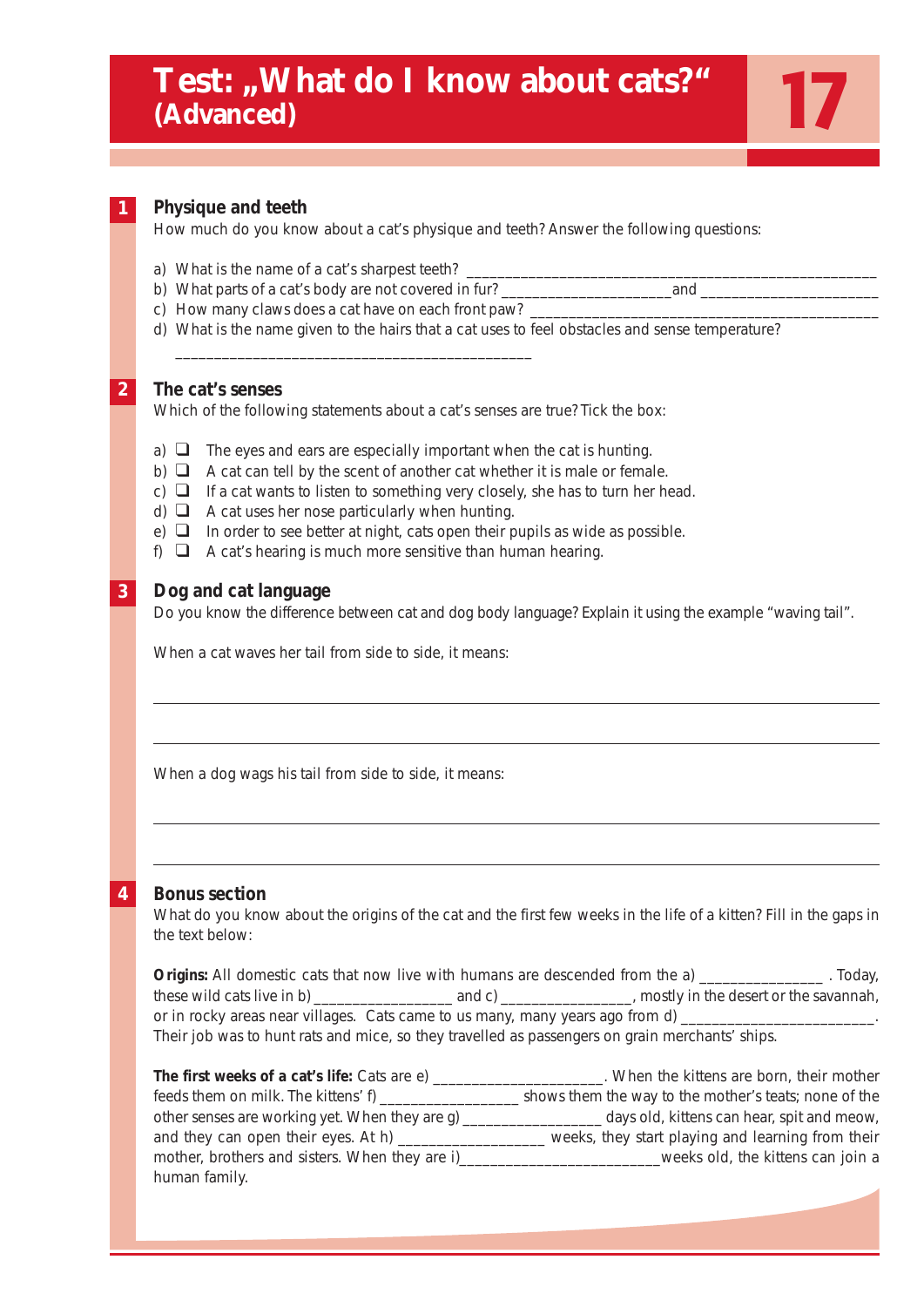## Test: "What do I know about cats?" **(Advanced)**

#### **Physique and teeth 1**

How much do you know about a cat's physique and teeth? Answer the following questions:

17

- a) What is the name of a cat's sharpest teeth?
- b) What parts of a cat's body are not covered in fur? \_\_\_\_\_\_\_\_\_\_\_\_\_\_\_\_\_\_\_\_\_\_and \_\_\_\_\_\_\_\_\_\_\_\_\_\_\_\_\_\_\_\_\_\_\_
- c) How many claws does a cat have on each front paw? \_\_\_\_\_\_\_

\_\_\_\_\_\_\_\_\_\_\_\_\_\_\_\_\_\_\_\_\_\_\_\_\_\_\_\_\_\_\_\_\_\_\_\_\_\_\_\_\_\_\_\_\_\_

d) What is the name given to the hairs that a cat uses to feel obstacles and sense temperature?

#### **The cat's senses 2**

Which of the following statements about a cat's senses are true? Tick the box:

- a)  $\Box$  The eyes and ears are especially important when the cat is hunting.
- b)  $\Box$  A cat can tell by the scent of another cat whether it is male or female.
- c)  $\Box$  If a cat wants to listen to something very closely, she has to turn her head.
- d) ❑ A cat uses her nose particularly when hunting.
- e)  $\Box$  In order to see better at night, cats open their pupils as wide as possible.
- f)  $\Box$  A cat's hearing is much more sensitive than human hearing.

#### **Dog and cat language 3**

Do you know the difference between cat and dog body language? Explain it using the example "waving tail".

When a cat waves her tail from side to side, it means:

When a dog wags his tail from side to side, it means:

## **4**

## **Bonus section**

What do you know about the origins of the cat and the first few weeks in the life of a kitten? Fill in the gaps in the text below:

**Origins:** All domestic cats that now live with humans are descended from the a) \_\_\_\_\_\_\_\_\_\_\_\_\_\_\_\_. . Today, these wild cats live in b) \_\_\_\_\_\_\_\_\_\_\_\_\_\_\_\_\_\_\_\_\_\_\_ and c) \_\_\_\_\_\_\_\_\_\_\_\_\_\_\_\_\_, mostly in the desert or the savannah, or in rocky areas near villages. Cats came to us many, many years ago from d) \_\_\_\_\_\_\_\_\_ Their job was to hunt rats and mice, so they travelled as passengers on grain merchants' ships.

| The first weeks of a cat's life: Cats are e)                    | . When the kittens are born, their mother             |
|-----------------------------------------------------------------|-------------------------------------------------------|
| feeds them on milk. The kittens' $f$ ) $\overline{\phantom{a}}$ | shows them the way to the mother's teats; none of the |
| other senses are working yet. When they are g)                  | days old, kittens can hear, spit and meow,            |
| and they can open their eyes. At h) __________                  | weeks, they start playing and learning from their     |
| mother, brothers and sisters. When they are i)                  | weeks old, the kittens can join a                     |
| human family.                                                   |                                                       |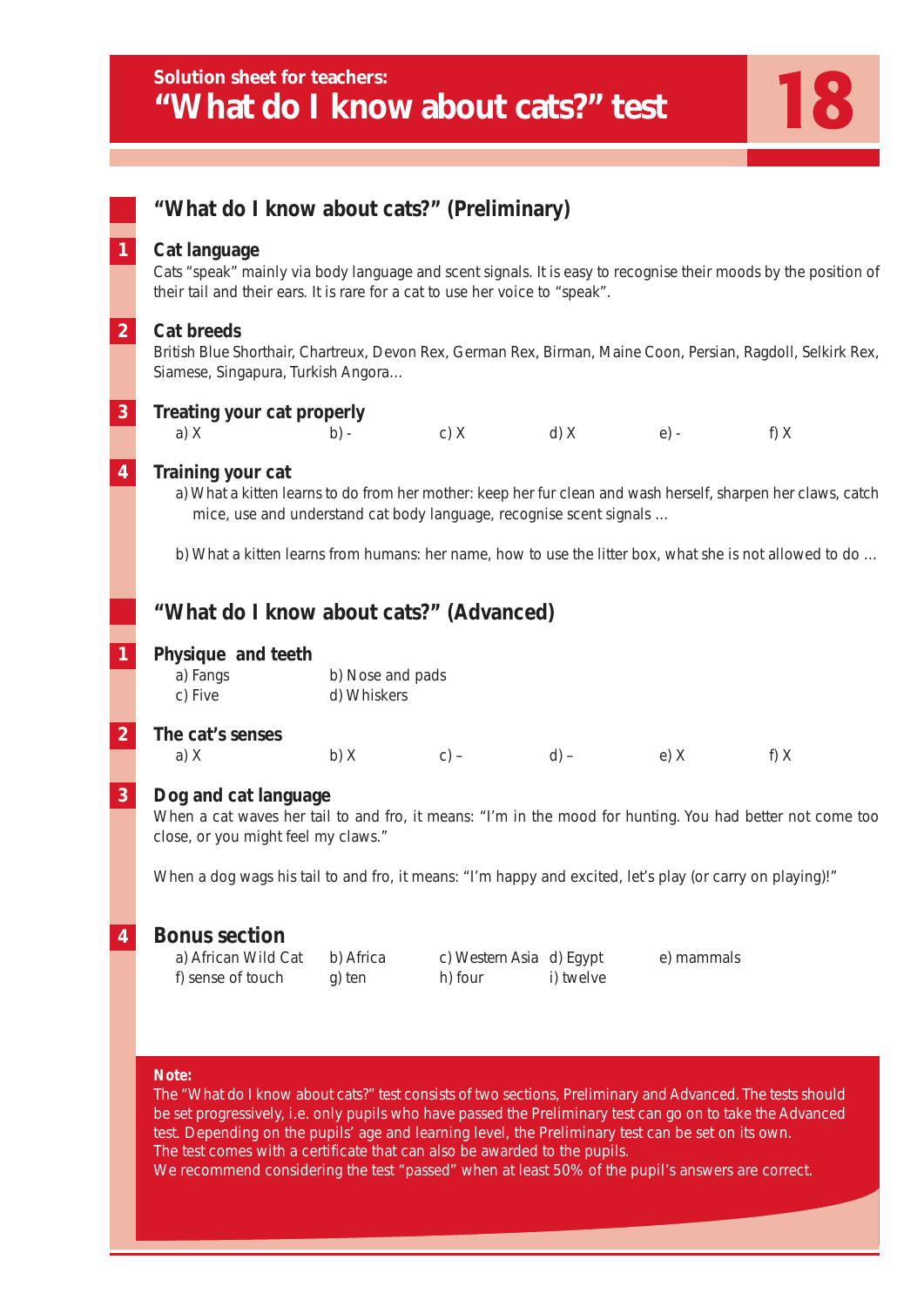|                         | "What do I know about cats?" (Preliminary)                                                                                                                                                                                                                                                                                                                                                                           |                                 |                                     |           |            |                                                                                                         |
|-------------------------|----------------------------------------------------------------------------------------------------------------------------------------------------------------------------------------------------------------------------------------------------------------------------------------------------------------------------------------------------------------------------------------------------------------------|---------------------------------|-------------------------------------|-----------|------------|---------------------------------------------------------------------------------------------------------|
| $\overline{\mathbf{1}}$ | Cat language<br>Cats "speak" mainly via body language and scent signals. It is easy to recognise their moods by the position of<br>their tail and their ears. It is rare for a cat to use her voice to "speak".                                                                                                                                                                                                      |                                 |                                     |           |            |                                                                                                         |
| $\overline{2}$          | <b>Cat breeds</b><br>British Blue Shorthair, Chartreux, Devon Rex, German Rex, Birman, Maine Coon, Persian, Ragdoll, Selkirk Rex,<br>Siamese, Singapura, Turkish Angora                                                                                                                                                                                                                                              |                                 |                                     |           |            |                                                                                                         |
| $\overline{\mathbf{3}}$ | Treating your cat properly<br>a) $X$                                                                                                                                                                                                                                                                                                                                                                                 | $b) -$                          | c) $X$ d) $X$ e) -                  |           |            | f) X                                                                                                    |
| $\overline{\bf{4}}$     | Training your cat<br>a) What a kitten learns to do from her mother: keep her fur clean and wash herself, sharpen her claws, catch<br>mice, use and understand cat body language, recognise scent signals                                                                                                                                                                                                             |                                 |                                     |           |            |                                                                                                         |
|                         |                                                                                                                                                                                                                                                                                                                                                                                                                      |                                 |                                     |           |            | b) What a kitten learns from humans: her name, how to use the litter box, what she is not allowed to do |
|                         | "What do I know about cats?" (Advanced)                                                                                                                                                                                                                                                                                                                                                                              |                                 |                                     |           |            |                                                                                                         |
| $\overline{\mathbf{1}}$ | Physique and teeth<br>a) Fangs<br>c) Five                                                                                                                                                                                                                                                                                                                                                                            | b) Nose and pads<br>d) Whiskers |                                     |           |            |                                                                                                         |
| $\overline{2}$          | The cat's senses<br>a) $X$                                                                                                                                                                                                                                                                                                                                                                                           |                                 | b) X c) – d) –                      |           | $e)$ X     | f) X                                                                                                    |
| $\overline{\mathbf{3}}$ | Dog and cat language<br>When a cat waves her tail to and fro, it means: "I'm in the mood for hunting. You had better not come too<br>close, or you might feel my claws."                                                                                                                                                                                                                                             |                                 |                                     |           |            |                                                                                                         |
|                         | When a dog wags his tail to and fro, it means: "I'm happy and excited, let's play (or carry on playing)!"                                                                                                                                                                                                                                                                                                            |                                 |                                     |           |            |                                                                                                         |
| 4                       | <b>Bonus section</b><br>a) African Wild Cat<br>f) sense of touch                                                                                                                                                                                                                                                                                                                                                     | b) Africa<br>g) ten             | c) Western Asia d) Egypt<br>h) four | i) twelve | e) mammals |                                                                                                         |
|                         | Note:<br>The "What do I know about cats?" test consists of two sections, Preliminary and Advanced. The tests should<br>be set progressively, i.e. only pupils who have passed the Preliminary test can go on to take the Advanced<br>test. Depending on the pupils' age and learning level, the Preliminary test can be set on its own.<br>The test comes with a certificate that can also be awarded to the pupils. |                                 |                                     |           |            |                                                                                                         |

We recommend considering the test "passed" when at least 50% of the pupil's answers are correct.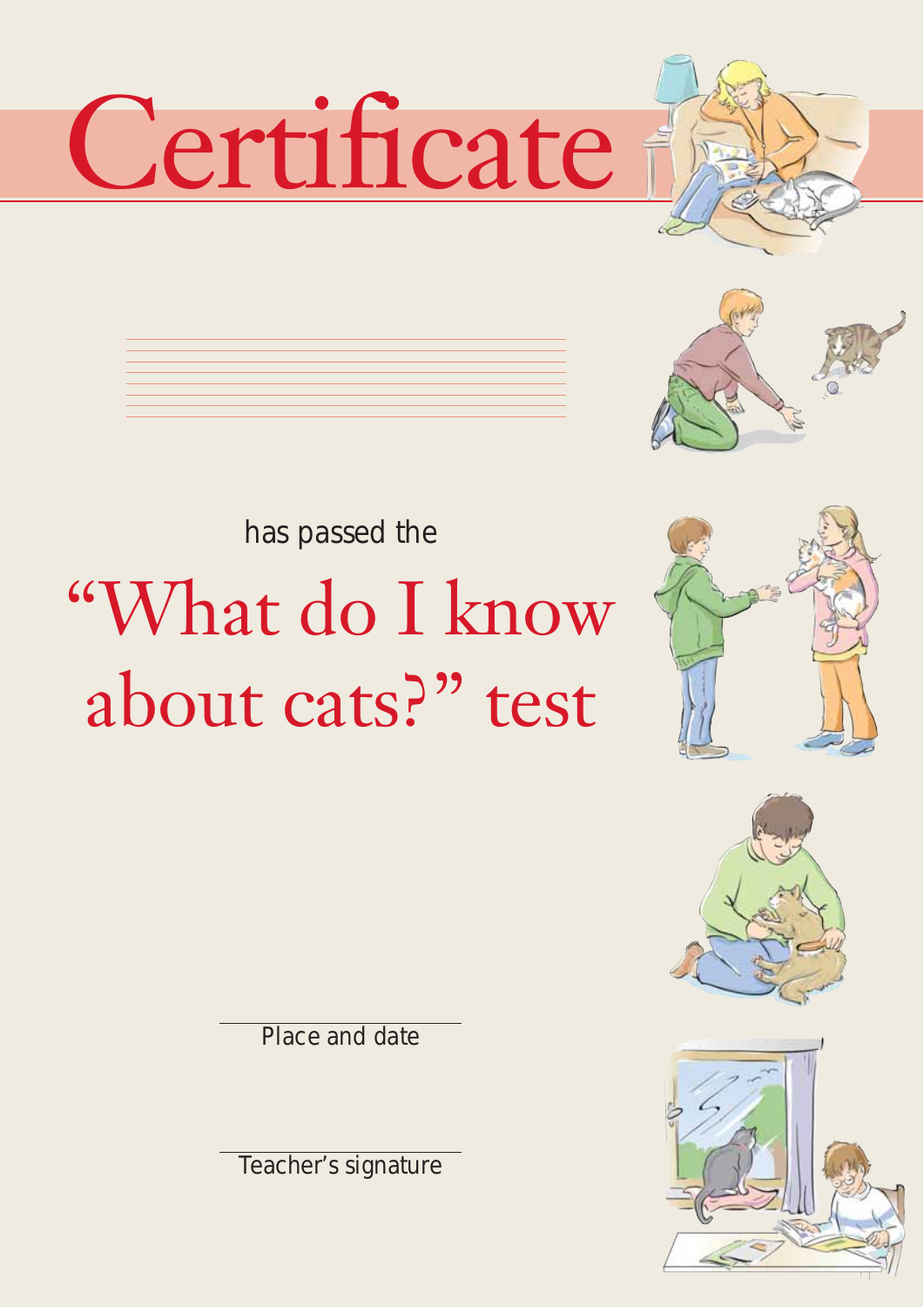# Certificate





# has passed the "What do I know about cats?" test







Place and date

Teacher's signature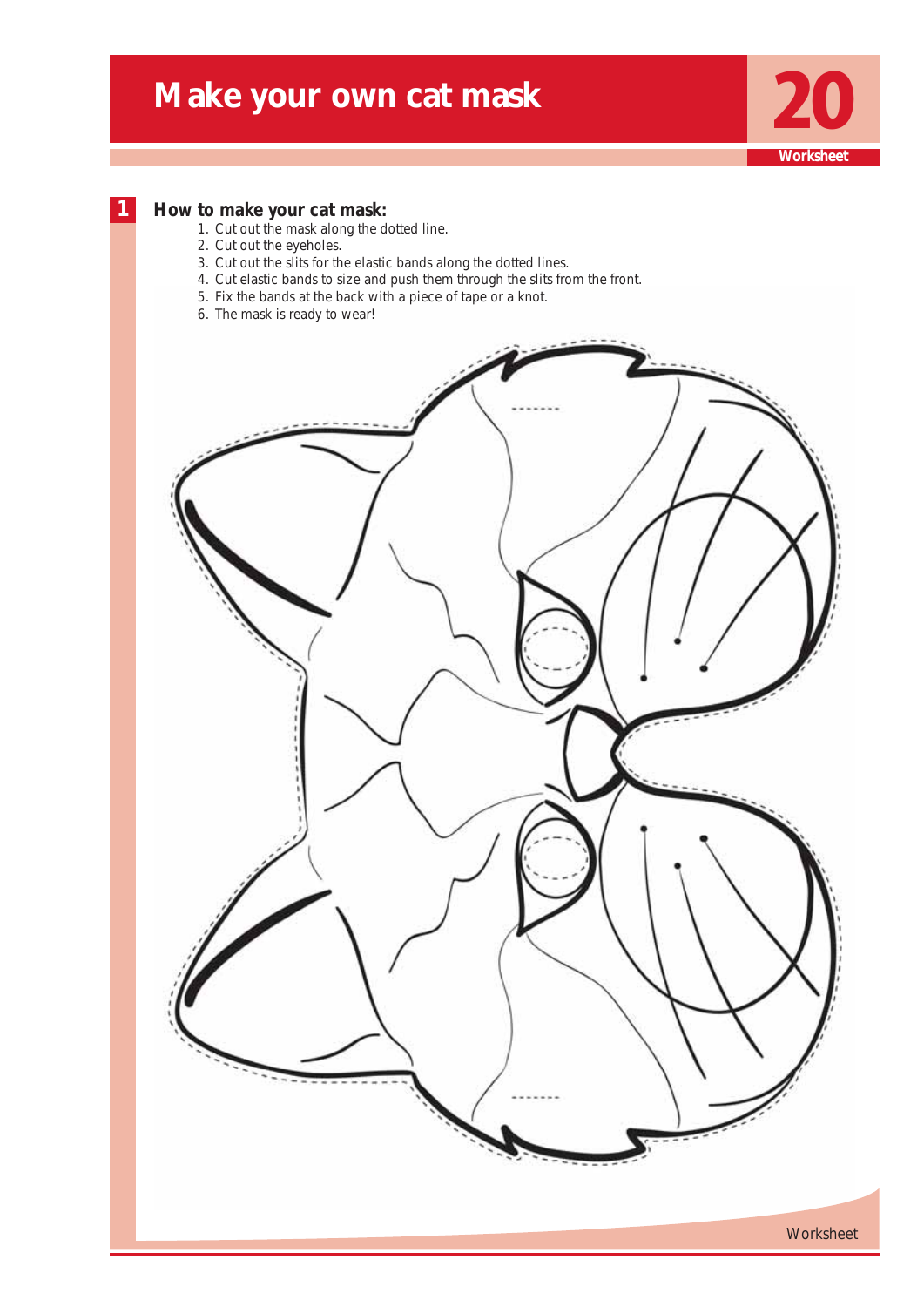## **Make your own cat mask**



## **1 How to make your cat mask:**

- 1. Cut out the mask along the dotted line.
- 2. Cut out the eyeholes.
- 3. Cut out the slits for the elastic bands along the dotted lines.
- 4. Cut elastic bands to size and push them through the slits from the front.
- 5. Fix the bands at the back with a piece of tape or a knot.
- 6. The mask is ready to wear!

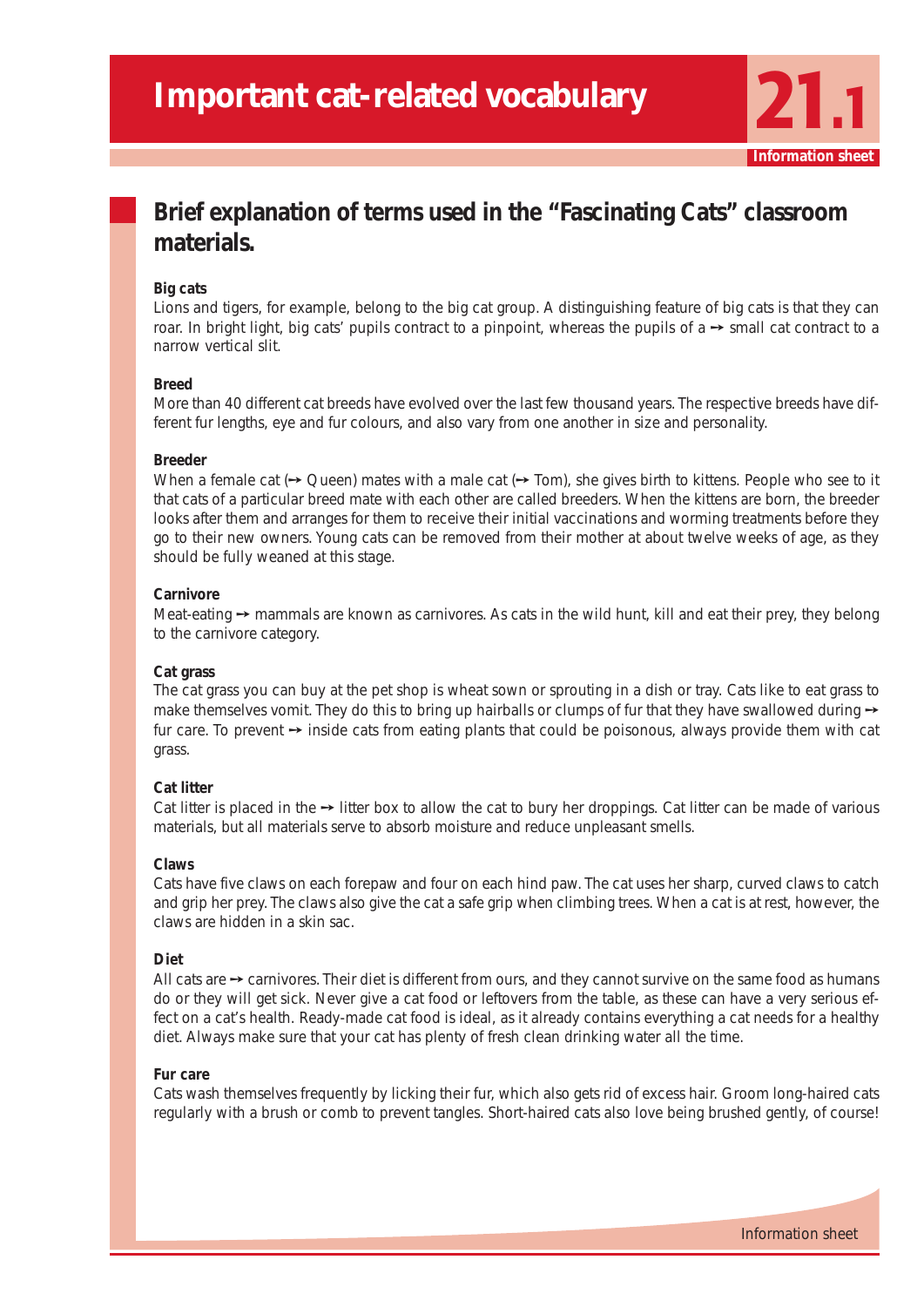**Information she** 

## **Brief explanation of terms used in the "Fascinating Cats" classroom materials.**

## **Big cats**

Lions and tigers, for example, belong to the big cat group. A distinguishing feature of big cats is that they can roar. In bright light, big cats' pupils contract to a pinpoint, whereas the pupils of a → small cat contract to a narrow vertical slit.

## **Breed**

More than 40 different cat breeds have evolved over the last few thousand years. The respective breeds have different fur lengths, eye and fur colours, and also vary from one another in size and personality.

## **Breeder**

When a female cat ( $\rightarrow$  Queen) mates with a male cat ( $\rightarrow$  Tom), she gives birth to kittens. People who see to it that cats of a particular breed mate with each other are called breeders. When the kittens are born, the breeder looks after them and arranges for them to receive their initial vaccinations and worming treatments before they go to their new owners. Young cats can be removed from their mother at about twelve weeks of age, as they should be fully weaned at this stage.

## **Carnivore**

Meat-eating → mammals are known as carnivores. As cats in the wild hunt, kill and eat their prey, they belong to the carnivore category.

## **Cat grass**

The cat grass you can buy at the pet shop is wheat sown or sprouting in a dish or tray. Cats like to eat grass to make themselves vomit. They do this to bring up hairballs or clumps of fur that they have swallowed during  $\rightarrow$ fur care. To prevent  $\rightarrow$  inside cats from eating plants that could be poisonous, always provide them with cat grass.

## **Cat litter**

Cat litter is placed in the  $\rightarrow$  litter box to allow the cat to bury her droppings. Cat litter can be made of various materials, but all materials serve to absorb moisture and reduce unpleasant smells.

#### **Claws**

Cats have five claws on each forepaw and four on each hind paw. The cat uses her sharp, curved claws to catch and grip her prey. The claws also give the cat a safe grip when climbing trees. When a cat is at rest, however, the claws are hidden in a skin sac.

#### **Diet**

All cats are  $\rightarrow$  carnivores. Their diet is different from ours, and they cannot survive on the same food as humans do or they will get sick. Never give a cat food or leftovers from the table, as these can have a very serious effect on a cat's health. Ready-made cat food is ideal, as it already contains everything a cat needs for a healthy diet. Always make sure that your cat has plenty of fresh clean drinking water all the time.

#### **Fur care**

Cats wash themselves frequently by licking their fur, which also gets rid of excess hair. Groom long-haired cats regularly with a brush or comb to prevent tangles. Short-haired cats also love being brushed gently, of course!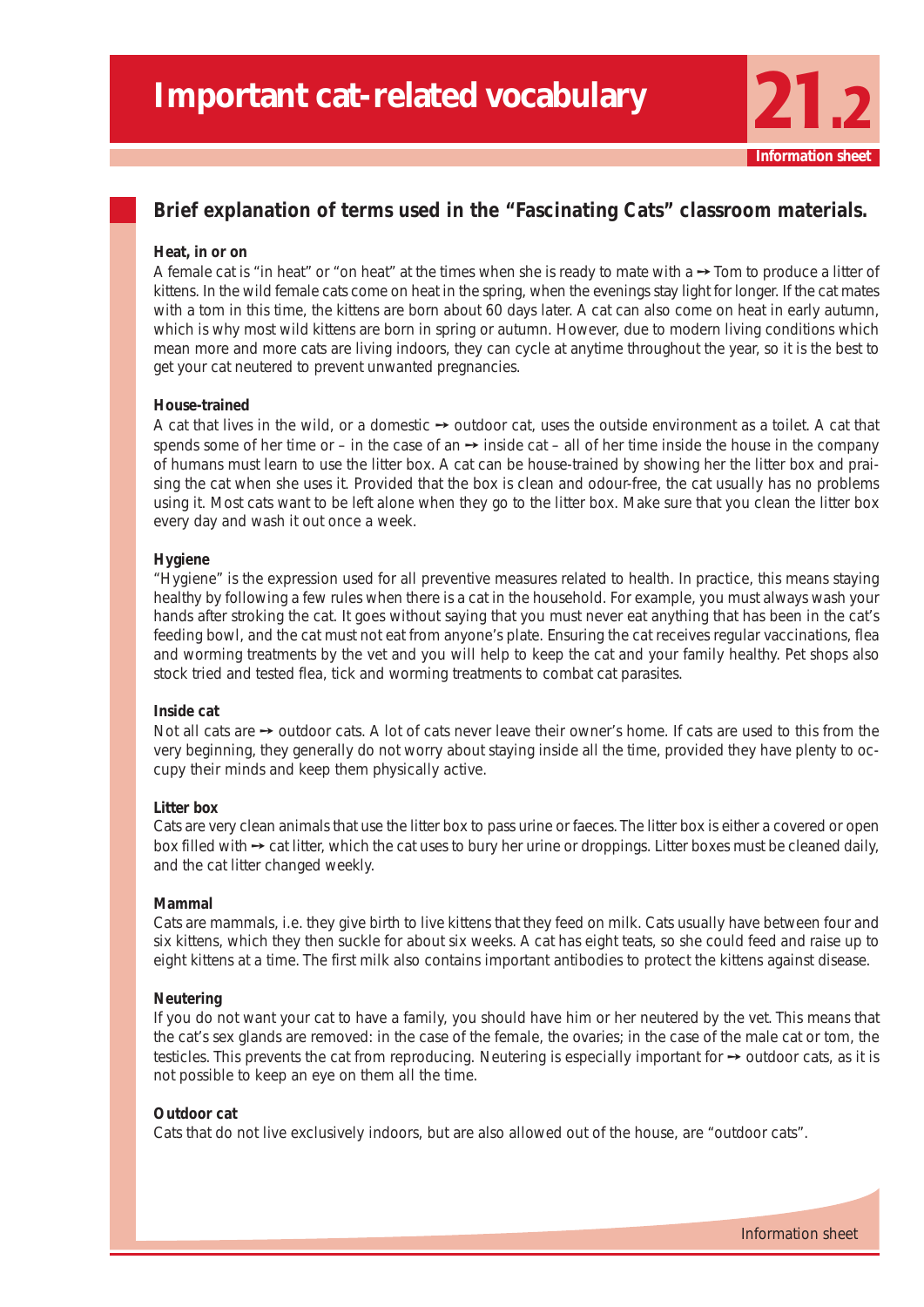## **Brief explanation of terms used in the "Fascinating Cats" classroom materials.**

#### **Heat, in or on**

A female cat is "in heat" or "on heat" at the times when she is ready to mate with a ➙ Tom to produce a litter of kittens. In the wild female cats come on heat in the spring, when the evenings stay light for longer. If the cat mates with a tom in this time, the kittens are born about 60 days later. A cat can also come on heat in early autumn, which is why most wild kittens are born in spring or autumn. However, due to modern living conditions which mean more and more cats are living indoors, they can cycle at anytime throughout the year, so it is the best to get your cat neutered to prevent unwanted pregnancies.

#### **House-trained**

A cat that lives in the wild, or a domestic  $\rightarrow$  outdoor cat, uses the outside environment as a toilet. A cat that spends some of her time or – in the case of an  $\rightarrow$  inside cat – all of her time inside the house in the company of humans must learn to use the litter box. A cat can be house-trained by showing her the litter box and praising the cat when she uses it. Provided that the box is clean and odour-free, the cat usually has no problems using it. Most cats want to be left alone when they go to the litter box. Make sure that you clean the litter box every day and wash it out once a week.

#### **Hygiene**

"Hygiene" is the expression used for all preventive measures related to health. In practice, this means staying healthy by following a few rules when there is a cat in the household. For example, you must always wash your hands after stroking the cat. It goes without saying that you must never eat anything that has been in the cat's feeding bowl, and the cat must not eat from anyone's plate. Ensuring the cat receives regular vaccinations, flea and worming treatments by the vet and you will help to keep the cat and your family healthy. Pet shops also stock tried and tested flea, tick and worming treatments to combat cat parasites.

#### **Inside cat**

Not all cats are → outdoor cats. A lot of cats never leave their owner's home. If cats are used to this from the very beginning, they generally do not worry about staying inside all the time, provided they have plenty to occupy their minds and keep them physically active.

#### **Litter box**

Cats are very clean animals that use the litter box to pass urine or faeces. The litter box is either a covered or open box filled with ➙ cat litter, which the cat uses to bury her urine or droppings. Litter boxes must be cleaned daily, and the cat litter changed weekly.

#### **Mammal**

Cats are mammals, i.e. they give birth to live kittens that they feed on milk. Cats usually have between four and six kittens, which they then suckle for about six weeks. A cat has eight teats, so she could feed and raise up to eight kittens at a time. The first milk also contains important antibodies to protect the kittens against disease.

#### **Neutering**

If you do not want your cat to have a family, you should have him or her neutered by the vet. This means that the cat's sex glands are removed: in the case of the female, the ovaries; in the case of the male cat or tom, the testicles. This prevents the cat from reproducing. Neutering is especially important for → outdoor cats, as it is not possible to keep an eye on them all the time.

#### **Outdoor cat**

Cats that do not live exclusively indoors, but are also allowed out of the house, are "outdoor cats".

**Information**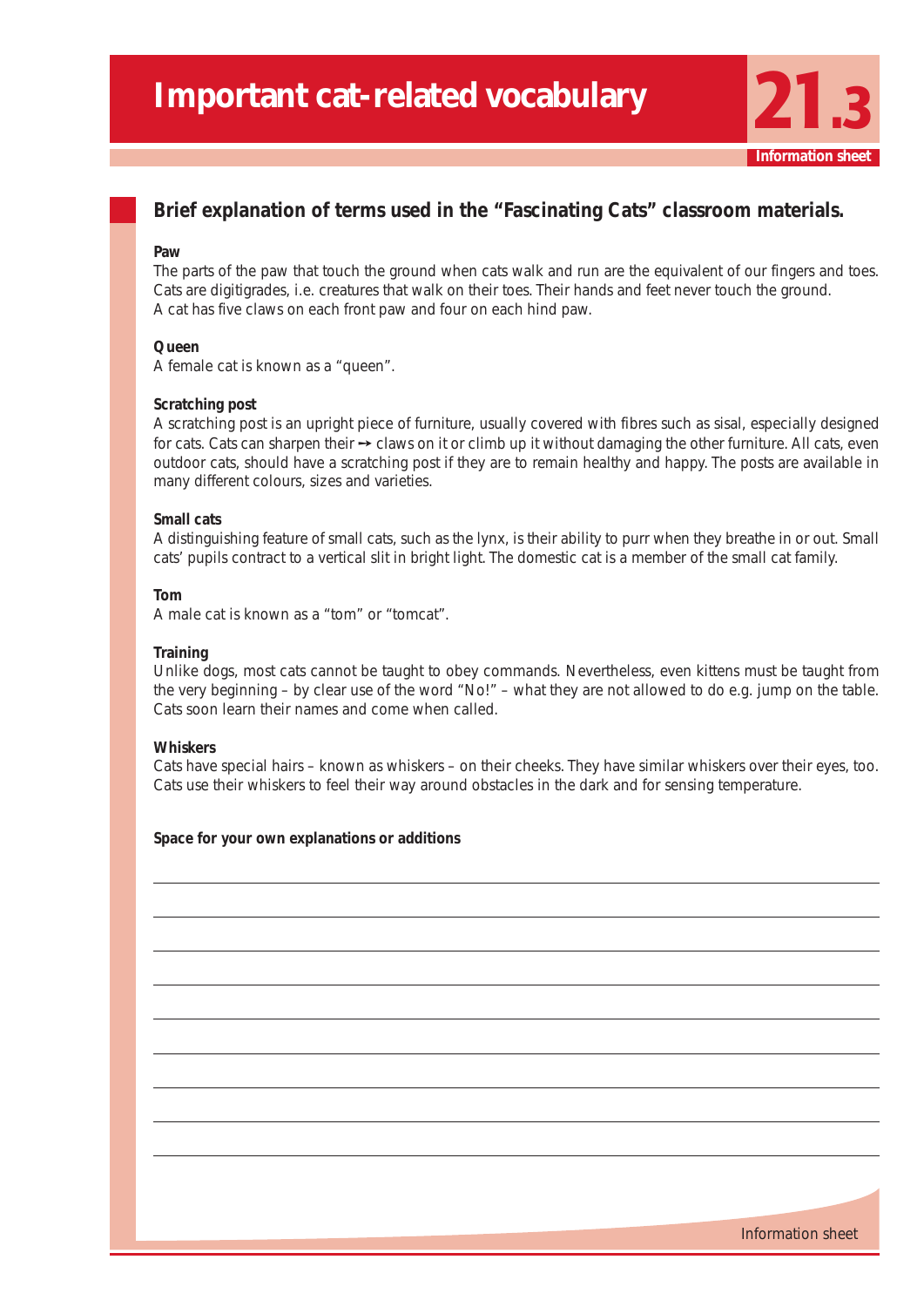## **Brief explanation of terms used in the "Fascinating Cats" classroom materials.**

#### **Paw**

The parts of the paw that touch the ground when cats walk and run are the equivalent of our fingers and toes. Cats are digitigrades, i.e. creatures that walk on their toes. Their hands and feet never touch the ground. A cat has five claws on each front paw and four on each hind paw.

### **Queen**

A female cat is known as a "queen".

#### **Scratching post**

A scratching post is an upright piece of furniture, usually covered with fibres such as sisal, especially designed for cats. Cats can sharpen their  $\rightarrow$  claws on it or climb up it without damaging the other furniture. All cats, even outdoor cats, should have a scratching post if they are to remain healthy and happy. The posts are available in many different colours, sizes and varieties.

## **Small cats**

A distinguishing feature of small cats, such as the lynx, is their ability to purr when they breathe in or out. Small cats' pupils contract to a vertical slit in bright light. The domestic cat is a member of the small cat family.

#### **Tom**

A male cat is known as a "tom" or "tomcat".

#### **Training**

Unlike dogs, most cats cannot be taught to obey commands. Nevertheless, even kittens must be taught from the very beginning – by clear use of the word "No!" – what they are not allowed to do e.g. jump on the table. Cats soon learn their names and come when called.

## **Whiskers**

Cats have special hairs – known as whiskers – on their cheeks. They have similar whiskers over their eyes, too. Cats use their whiskers to feel their way around obstacles in the dark and for sensing temperature.

#### **Space for your own explanations or additions**



**Information sheet**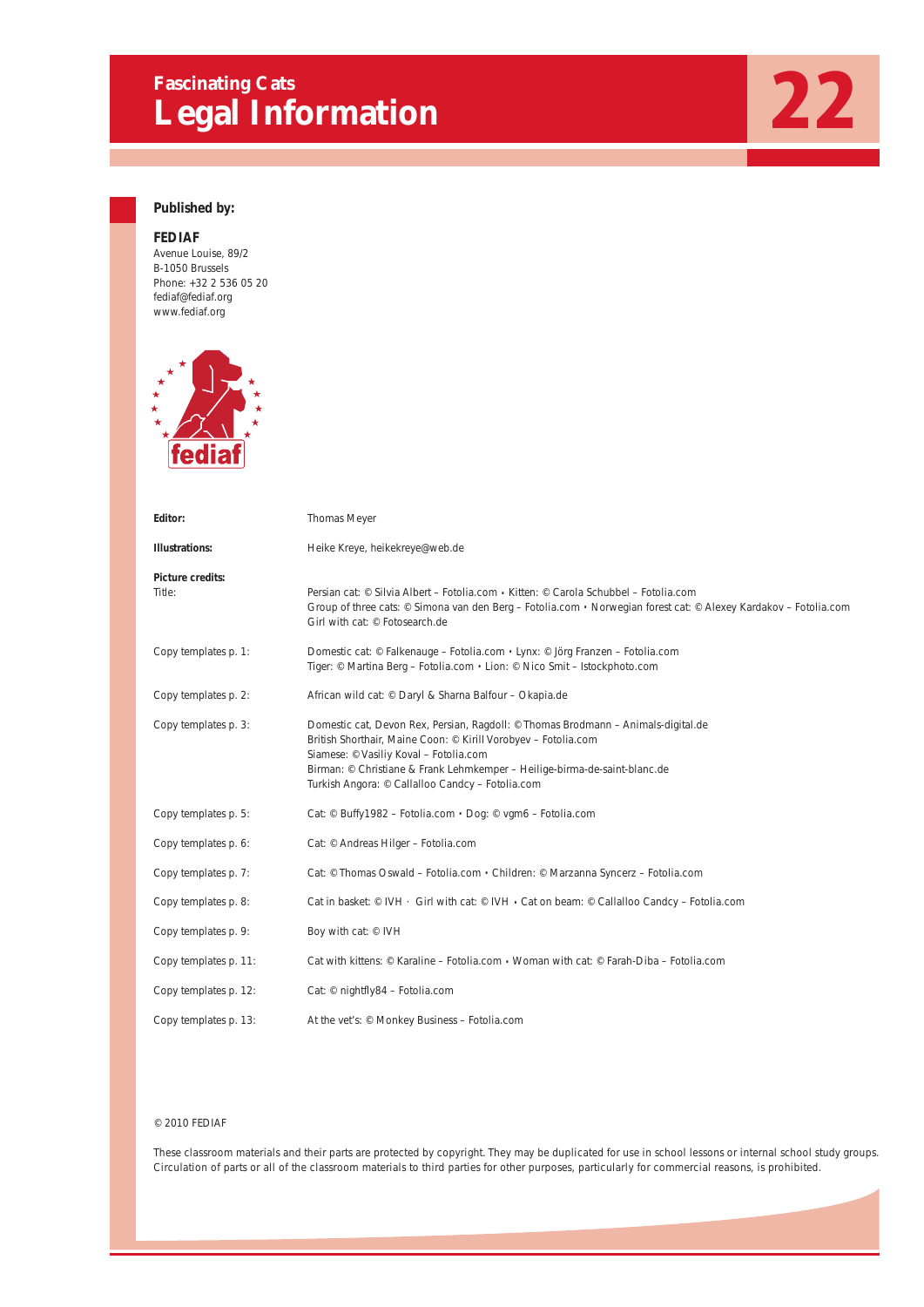# Fascinating Cats<br> **Legal Information**



## **Published by:**

## **FEDIAF**

Avenue Louise, 89/2 B-1050 Brussels Phone: +32 2 536 05 20 fediaf@fediaf.org www.fediaf.org



| Editor:                    | Thomas Meyer                                                                                                                                                                                                                                                                                                                   |
|----------------------------|--------------------------------------------------------------------------------------------------------------------------------------------------------------------------------------------------------------------------------------------------------------------------------------------------------------------------------|
| <b>Illustrations:</b>      | Heike Kreye, heikekreye@web.de                                                                                                                                                                                                                                                                                                 |
| Picture credits:<br>Title: | Persian cat: © Silvia Albert – Fotolia.com • Kitten: © Carola Schubbel – Fotolia.com<br>Group of three cats: © Simona van den Berg – Fotolia.com . Norwegian forest cat: © Alexey Kardakov – Fotolia.com<br>Girl with cat: © Fotosearch.de                                                                                     |
| Copy templates p. 1:       | Domestic cat: © Falkenauge – Fotolia.com . Lynx: © Jörg Franzen – Fotolia.com<br>Tiger: © Martina Berg - Fotolia.com · Lion: © Nico Smit - Istockphoto.com                                                                                                                                                                     |
| Copy templates p. 2:       | African wild cat: © Daryl & Sharna Balfour - Okapia.de                                                                                                                                                                                                                                                                         |
| Copy templates p. 3:       | Domestic cat, Devon Rex, Persian, Ragdoll: © Thomas Brodmann – Animals-digital.de<br>British Shorthair, Maine Coon: © Kirill Vorobyev - Fotolia.com<br>Siamese: © Vasiliy Koval - Fotolia.com<br>Birman: © Christiane & Frank Lehmkemper - Heilige-birma-de-saint-blanc.de<br>Turkish Angora: © Callalloo Candcy - Fotolia.com |
| Copy templates p. 5:       | Cat: © Buffy1982 - Fotolia.com · Dog: © vgm6 - Fotolia.com                                                                                                                                                                                                                                                                     |
| Copy templates p. 6:       | Cat: © Andreas Hilger - Fotolia.com                                                                                                                                                                                                                                                                                            |
| Copy templates p. 7:       | Cat: © Thomas Oswald – Fotolia.com . Children: © Marzanna Syncerz – Fotolia.com                                                                                                                                                                                                                                                |
| Copy templates p. 8:       | Cat in basket: © IVH · Girl with cat: © IVH • Cat on beam: © Callalloo Candcy – Fotolia.com                                                                                                                                                                                                                                    |
| Copy templates p. 9:       | Boy with cat: © IVH                                                                                                                                                                                                                                                                                                            |
| Copy templates p. 11:      | Cat with kittens: $\circ$ Karaline – Fotolia.com • Woman with cat: $\circ$ Farah-Diba – Fotolia.com                                                                                                                                                                                                                            |
| Copy templates p. 12:      | Cat: © nightfly84 - Fotolia.com                                                                                                                                                                                                                                                                                                |
| Copy templates p. 13:      | At the vet's: © Monkey Business - Fotolia.com                                                                                                                                                                                                                                                                                  |

#### © 2010 FEDIAF

These classroom materials and their parts are protected by copyright. They may be duplicated for use in school lessons or internal school study groups. Circulation of parts or all of the classroom materials to third parties for other purposes, particularly for commercial reasons, is prohibited.